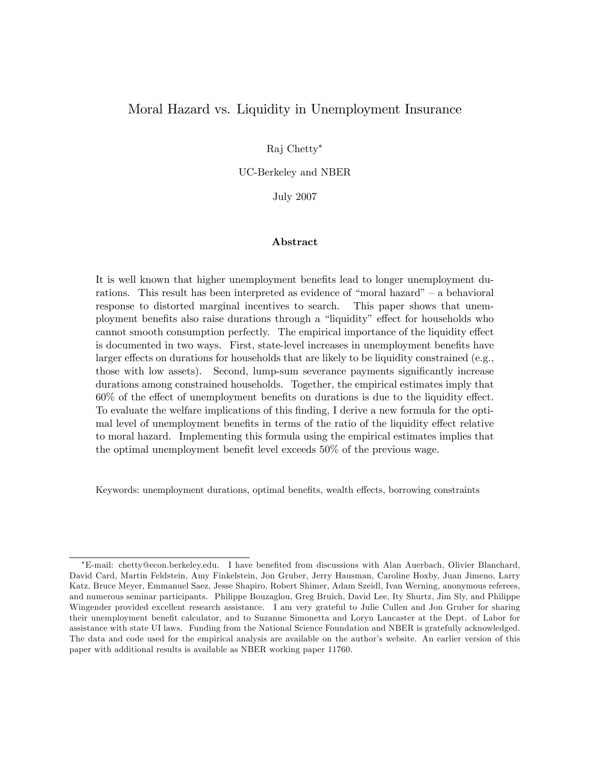# Moral Hazard vs. Liquidity in Unemployment Insurance

Raj Chetty

UC-Berkeley and NBER

July 2007

### Abstract

It is well known that higher unemployment benefits lead to longer unemployment durations. This result has been interpreted as evidence of "moral hazard"  $-$  a behavioral response to distorted marginal incentives to search. This paper shows that unemployment benefits also raise durations through a "liquidity" effect for households who cannot smooth consumption perfectly. The empirical importance of the liquidity effect is documented in two ways. First, state-level increases in unemployment benefits have larger effects on durations for households that are likely to be liquidity constrained (e.g., those with low assets). Second, lump-sum severance payments significantly increase durations among constrained households. Together, the empirical estimates imply that  $60\%$  of the effect of unemployment benefits on durations is due to the liquidity effect. To evaluate the welfare implications of this Önding, I derive a new formula for the optimal level of unemployment benefits in terms of the ratio of the liquidity effect relative to moral hazard. Implementing this formula using the empirical estimates implies that the optimal unemployment benefit level exceeds  $50\%$  of the previous wage.

Keywords: unemployment durations, optimal benefits, wealth effects, borrowing constraints

E-mail: chetty@econ.berkeley.edu. I have beneÖted from discussions with Alan Auerbach, Olivier Blanchard, David Card, Martin Feldstein, Amy Finkelstein, Jon Gruber, Jerry Hausman, Caroline Hoxby, Juan Jimeno, Larry Katz, Bruce Meyer, Emmanuel Saez, Jesse Shapiro, Robert Shimer, Adam Szeidl, Ivan Werning, anonymous referees, and numerous seminar participants. Philippe Bouzaglou, Greg Bruich, David Lee, Ity Shurtz, Jim Sly, and Philippe Wingender provided excellent research assistance. I am very grateful to Julie Cullen and Jon Gruber for sharing their unemployment benefit calculator, and to Suzanne Simonetta and Loryn Lancaster at the Dept. of Labor for assistance with state UI laws. Funding from the National Science Foundation and NBER is gratefully acknowledged. The data and code used for the empirical analysis are available on the author's website. An earlier version of this paper with additional results is available as NBER working paper 11760.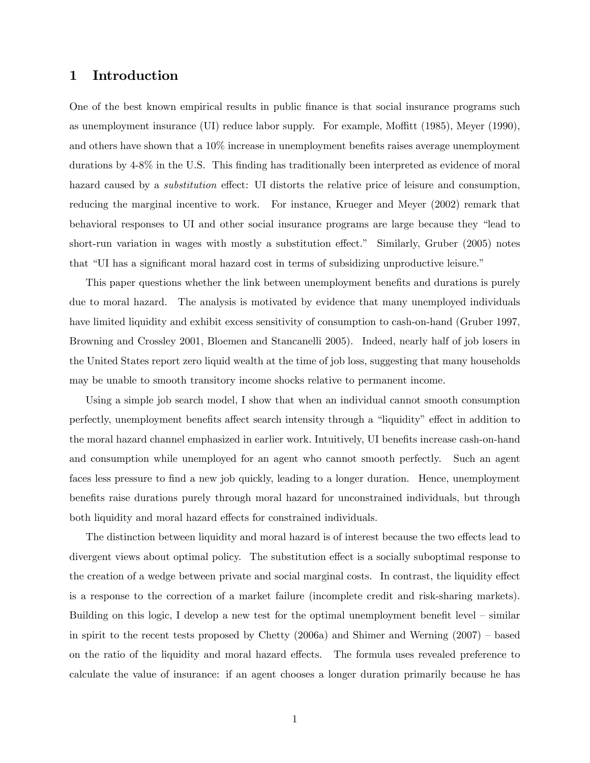# 1 Introduction

One of the best known empirical results in public Önance is that social insurance programs such as unemployment insurance (UI) reduce labor supply. For example, Moffitt  $(1985)$ , Meyer  $(1990)$ , and others have shown that a  $10\%$  increase in unemployment benefits raises average unemployment durations by 4-8% in the U.S. This finding has traditionally been interpreted as evidence of moral hazard caused by a *substitution* effect: UI distorts the relative price of leisure and consumption, reducing the marginal incentive to work. For instance, Krueger and Meyer (2002) remark that behavioral responses to UI and other social insurance programs are large because they "lead to short-run variation in wages with mostly a substitution effect." Similarly, Gruber (2005) notes that "UI has a significant moral hazard cost in terms of subsidizing unproductive leisure."

This paper questions whether the link between unemployment benefits and durations is purely due to moral hazard. The analysis is motivated by evidence that many unemployed individuals have limited liquidity and exhibit excess sensitivity of consumption to cash-on-hand (Gruber 1997, Browning and Crossley 2001, Bloemen and Stancanelli 2005). Indeed, nearly half of job losers in the United States report zero liquid wealth at the time of job loss, suggesting that many households may be unable to smooth transitory income shocks relative to permanent income.

Using a simple job search model, I show that when an individual cannot smooth consumption perfectly, unemployment benefits affect search intensity through a "liquidity" effect in addition to the moral hazard channel emphasized in earlier work. Intuitively, UI benefits increase cash-on-hand and consumption while unemployed for an agent who cannot smooth perfectly. Such an agent faces less pressure to find a new job quickly, leading to a longer duration. Hence, unemployment benefits raise durations purely through moral hazard for unconstrained individuals, but through both liquidity and moral hazard effects for constrained individuals.

The distinction between liquidity and moral hazard is of interest because the two effects lead to divergent views about optimal policy. The substitution effect is a socially suboptimal response to the creation of a wedge between private and social marginal costs. In contrast, the liquidity effect is a response to the correction of a market failure (incomplete credit and risk-sharing markets). Building on this logic, I develop a new test for the optimal unemployment benefit level  $-$  similar in spirit to the recent tests proposed by Chetty  $(2006a)$  and Shimer and Werning  $(2007)$  – based on the ratio of the liquidity and moral hazard effects. The formula uses revealed preference to calculate the value of insurance: if an agent chooses a longer duration primarily because he has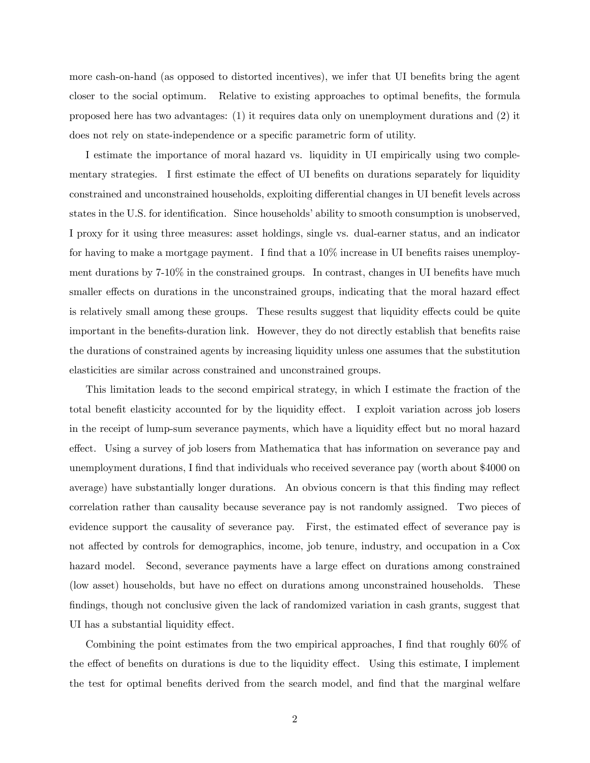more cash-on-hand (as opposed to distorted incentives), we infer that UI benefits bring the agent closer to the social optimum. Relative to existing approaches to optimal benefits, the formula proposed here has two advantages: (1) it requires data only on unemployment durations and (2) it does not rely on state-independence or a specific parametric form of utility.

I estimate the importance of moral hazard vs. liquidity in UI empirically using two complementary strategies. I first estimate the effect of UI benefits on durations separately for liquidity constrained and unconstrained households, exploiting differential changes in UI benefit levels across states in the U.S. for identification. Since households' ability to smooth consumption is unobserved, I proxy for it using three measures: asset holdings, single vs. dual-earner status, and an indicator for having to make a mortgage payment. I find that a  $10\%$  increase in UI benefits raises unemployment durations by  $7-10\%$  in the constrained groups. In contrast, changes in UI benefits have much smaller effects on durations in the unconstrained groups, indicating that the moral hazard effect is relatively small among these groups. These results suggest that liquidity effects could be quite important in the benefits-duration link. However, they do not directly establish that benefits raise the durations of constrained agents by increasing liquidity unless one assumes that the substitution elasticities are similar across constrained and unconstrained groups.

This limitation leads to the second empirical strategy, in which I estimate the fraction of the total benefit elasticity accounted for by the liquidity effect. I exploit variation across job losers in the receipt of lump-sum severance payments, which have a liquidity effect but no moral hazard effect. Using a survey of job losers from Mathematica that has information on severance pay and unemployment durations, I find that individuals who received severance pay (worth about \$4000 on average) have substantially longer durations. An obvious concern is that this finding may reflect correlation rather than causality because severance pay is not randomly assigned. Two pieces of evidence support the causality of severance pay. First, the estimated effect of severance pay is not affected by controls for demographics, income, job tenure, industry, and occupation in a Cox hazard model. Second, severance payments have a large effect on durations among constrained (low asset) households, but have no effect on durations among unconstrained households. These Öndings, though not conclusive given the lack of randomized variation in cash grants, suggest that UI has a substantial liquidity effect.

Combining the point estimates from the two empirical approaches, I find that roughly 60% of the effect of benefits on durations is due to the liquidity effect. Using this estimate, I implement the test for optimal benefits derived from the search model, and find that the marginal welfare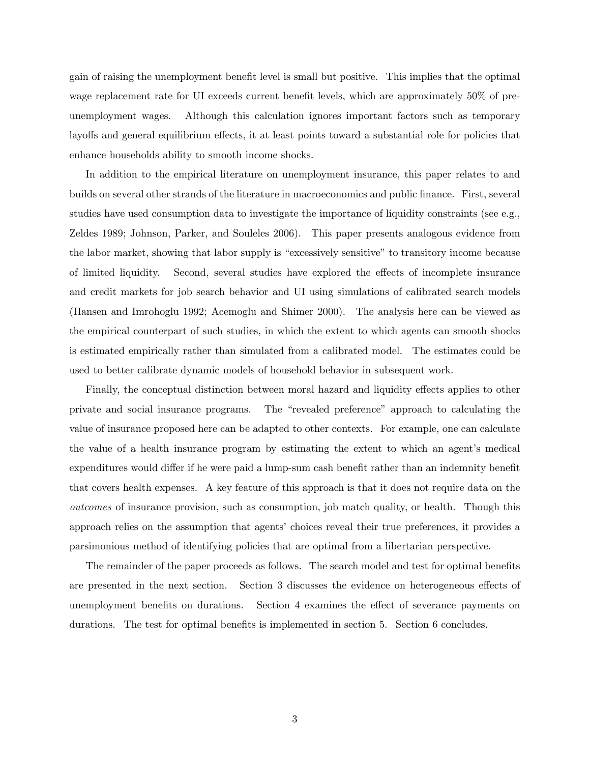gain of raising the unemployment benefit level is small but positive. This implies that the optimal wage replacement rate for UI exceeds current benefit levels, which are approximately  $50\%$  of preunemployment wages. Although this calculation ignores important factors such as temporary layoffs and general equilibrium effects, it at least points toward a substantial role for policies that enhance households ability to smooth income shocks.

In addition to the empirical literature on unemployment insurance, this paper relates to and builds on several other strands of the literature in macroeconomics and public Önance. First, several studies have used consumption data to investigate the importance of liquidity constraints (see e.g., Zeldes 1989; Johnson, Parker, and Souleles 2006). This paper presents analogous evidence from the labor market, showing that labor supply is "excessively sensitive" to transitory income because of limited liquidity. Second, several studies have explored the effects of incomplete insurance and credit markets for job search behavior and UI using simulations of calibrated search models (Hansen and Imrohoglu 1992; Acemoglu and Shimer 2000). The analysis here can be viewed as the empirical counterpart of such studies, in which the extent to which agents can smooth shocks is estimated empirically rather than simulated from a calibrated model. The estimates could be used to better calibrate dynamic models of household behavior in subsequent work.

Finally, the conceptual distinction between moral hazard and liquidity effects applies to other private and social insurance programs. The "revealed preference" approach to calculating the value of insurance proposed here can be adapted to other contexts. For example, one can calculate the value of a health insurance program by estimating the extent to which an agent's medical expenditures would differ if he were paid a lump-sum cash benefit rather than an indemnity benefit that covers health expenses. A key feature of this approach is that it does not require data on the outcomes of insurance provision, such as consumption, job match quality, or health. Though this approach relies on the assumption that agents' choices reveal their true preferences, it provides a parsimonious method of identifying policies that are optimal from a libertarian perspective.

The remainder of the paper proceeds as follows. The search model and test for optimal benefits are presented in the next section. Section 3 discusses the evidence on heterogeneous effects of unemployment benefits on durations. Section 4 examines the effect of severance payments on durations. The test for optimal benefits is implemented in section 5. Section 6 concludes.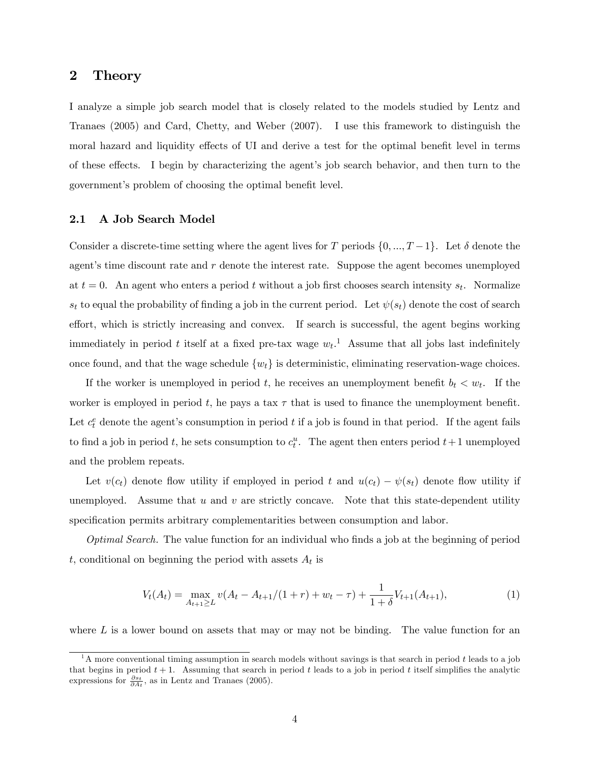## 2 Theory

I analyze a simple job search model that is closely related to the models studied by Lentz and Tranaes (2005) and Card, Chetty, and Weber (2007). I use this framework to distinguish the moral hazard and liquidity effects of UI and derive a test for the optimal benefit level in terms of these effects. I begin by characterizing the agent's job search behavior, and then turn to the government's problem of choosing the optimal benefit level.

## 2.1 A Job Search Model

Consider a discrete-time setting where the agent lives for T periods  $\{0, ..., T-1\}$ . Let  $\delta$  denote the agent's time discount rate and  $r$  denote the interest rate. Suppose the agent becomes unemployed at  $t = 0$ . An agent who enters a period t without a job first chooses search intensity  $s_t$ . Normalize  $s_t$  to equal the probability of finding a job in the current period. Let  $\psi(s_t)$  denote the cost of search effort, which is strictly increasing and convex. If search is successful, the agent begins working immediately in period t itself at a fixed pre-tax wage  $w_t$ .<sup>1</sup> Assume that all jobs last indefinitely once found, and that the wage schedule  $\{w_t\}$  is deterministic, eliminating reservation-wage choices.

If the worker is unemployed in period t, he receives an unemployment benefit  $b_t < w_t$ . If the worker is employed in period t, he pays a tax  $\tau$  that is used to finance the unemployment benefit. Let  $c_t^e$  denote the agent's consumption in period t if a job is found in that period. If the agent fails to find a job in period t, he sets consumption to  $c_t^u$ . The agent then enters period  $t+1$  unemployed and the problem repeats.

Let  $v(c_t)$  denote flow utility if employed in period t and  $u(c_t) - \psi(s_t)$  denote flow utility if unemployed. Assume that  $u$  and  $v$  are strictly concave. Note that this state-dependent utility specification permits arbitrary complementarities between consumption and labor.

*Optimal Search*. The value function for an individual who finds a job at the beginning of period t, conditional on beginning the period with assets  $A_t$  is

$$
V_t(A_t) = \max_{A_{t+1} \ge L} v(A_t - A_{t+1}/(1+r) + w_t - \tau) + \frac{1}{1+\delta} V_{t+1}(A_{t+1}),\tag{1}
$$

where  $L$  is a lower bound on assets that may or may not be binding. The value function for an

<sup>&</sup>lt;sup>1</sup>A more conventional timing assumption in search models without savings is that search in period t leads to a job that begins in period  $t + 1$ . Assuming that search in period t leads to a job in period t itself simplifies the analytic expressions for  $\frac{\partial s_t}{\partial A_t}$ , as in Lentz and Tranaes (2005).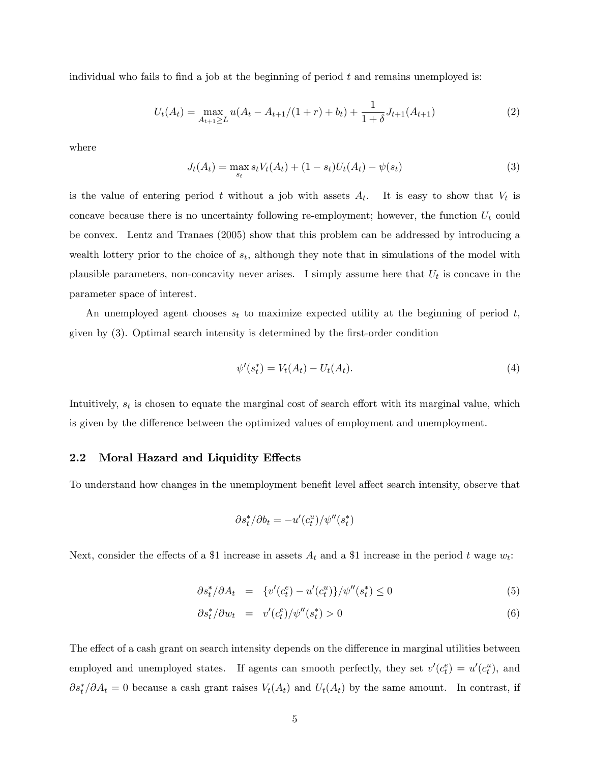individual who fails to find a job at the beginning of period  $t$  and remains unemployed is:

$$
U_t(A_t) = \max_{A_{t+1} \ge L} u(A_t - A_{t+1}/(1+r) + b_t) + \frac{1}{1+\delta} J_{t+1}(A_{t+1})
$$
\n(2)

where

$$
J_t(A_t) = \max_{s_t} s_t V_t(A_t) + (1 - s_t) U_t(A_t) - \psi(s_t)
$$
\n(3)

is the value of entering period t without a job with assets  $A_t$ . It is easy to show that  $V_t$  is concave because there is no uncertainty following re-employment; however, the function  $U_t$  could be convex. Lentz and Tranaes (2005) show that this problem can be addressed by introducing a wealth lottery prior to the choice of  $s_t$ , although they note that in simulations of the model with plausible parameters, non-concavity never arises. I simply assume here that  $U_t$  is concave in the parameter space of interest.

An unemployed agent chooses  $s_t$  to maximize expected utility at the beginning of period t, given by (3). Optimal search intensity is determined by the Örst-order condition

$$
\psi'(s_t^*) = V_t(A_t) - U_t(A_t). \tag{4}
$$

Intuitively,  $s_t$  is chosen to equate the marginal cost of search effort with its marginal value, which is given by the difference between the optimized values of employment and unemployment.

### 2.2 Moral Hazard and Liquidity Effects

To understand how changes in the unemployment benefit level affect search intensity, observe that

$$
\partial s_t^* / \partial b_t = -u'(c_t^u) / \psi''(s_t^*)
$$

Next, consider the effects of a \$1 increase in assets  $A_t$  and a \$1 increase in the period t wage  $w_t$ :

$$
\partial s_t^* / \partial A_t = \{ v'(c_t^e) - u'(c_t^u) \} / \psi''(s_t^*) \le 0 \tag{5}
$$

$$
\partial s_t^* / \partial w_t = v'(c_t^e) / \psi''(s_t^*) > 0 \tag{6}
$$

The effect of a cash grant on search intensity depends on the difference in marginal utilities between employed and unemployed states. If agents can smooth perfectly, they set  $v'(c_t^e) = u'(c_t^u)$ , and  $\partial s_t^* / \partial A_t = 0$  because a cash grant raises  $V_t(A_t)$  and  $U_t(A_t)$  by the same amount. In contrast, if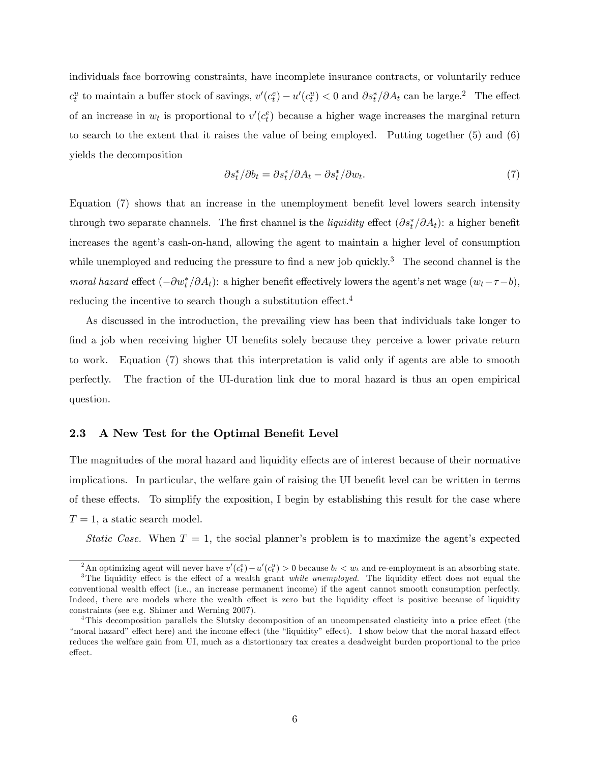individuals face borrowing constraints, have incomplete insurance contracts, or voluntarily reduce  $c_t^u$  to maintain a buffer stock of savings,  $v'(c_t^e) - u'(c_t^u) < 0$  and  $\partial s_t^* / \partial A_t$  can be large.<sup>2</sup> The effect of an increase in  $w_t$  is proportional to  $v'(c_t^e)$  because a higher wage increases the marginal return to search to the extent that it raises the value of being employed. Putting together (5) and (6) yields the decomposition

$$
\partial s_t^* / \partial b_t = \partial s_t^* / \partial A_t - \partial s_t^* / \partial w_t. \tag{7}
$$

Equation  $(7)$  shows that an increase in the unemployment benefit level lowers search intensity through two separate channels. The first channel is the *liquidity* effect  $(\partial s_t^* / \partial A_t)$ : a higher benefit increases the agent's cash-on-hand, allowing the agent to maintain a higher level of consumption while unemployed and reducing the pressure to find a new job quickly.<sup>3</sup> The second channel is the moral hazard effect  $(-\partial w_t^*/\partial A_t)$ : a higher benefit effectively lowers the agent's net wage  $(w_t - \tau - b)$ , reducing the incentive to search though a substitution effect. $4$ 

As discussed in the introduction, the prevailing view has been that individuals take longer to find a job when receiving higher UI benefits solely because they perceive a lower private return to work. Equation (7) shows that this interpretation is valid only if agents are able to smooth perfectly. The fraction of the UI-duration link due to moral hazard is thus an open empirical question.

## 2.3 A New Test for the Optimal Benefit Level

The magnitudes of the moral hazard and liquidity effects are of interest because of their normative implications. In particular, the welfare gain of raising the UI benefit level can be written in terms of these effects. To simplify the exposition, I begin by establishing this result for the case where  $T = 1$ , a static search model.

Static Case. When  $T = 1$ , the social planner's problem is to maximize the agent's expected

<sup>&</sup>lt;sup>2</sup>An optimizing agent will never have  $v'(c_t^e) - u'(c_t^u) > 0$  because  $b_t < w_t$  and re-employment is an absorbing state.  $3$ The liquidity effect is the effect of a wealth grant while unemployed. The liquidity effect does not equal the

conventional wealth effect (i.e., an increase permanent income) if the agent cannot smooth consumption perfectly. Indeed, there are models where the wealth effect is zero but the liquidity effect is positive because of liquidity constraints (see e.g. Shimer and Werning 2007).

<sup>&</sup>lt;sup>4</sup>This decomposition parallels the Slutsky decomposition of an uncompensated elasticity into a price effect (the "moral hazard" effect here) and the income effect (the "liquidity" effect). I show below that the moral hazard effect reduces the welfare gain from UI, much as a distortionary tax creates a deadweight burden proportional to the price effect.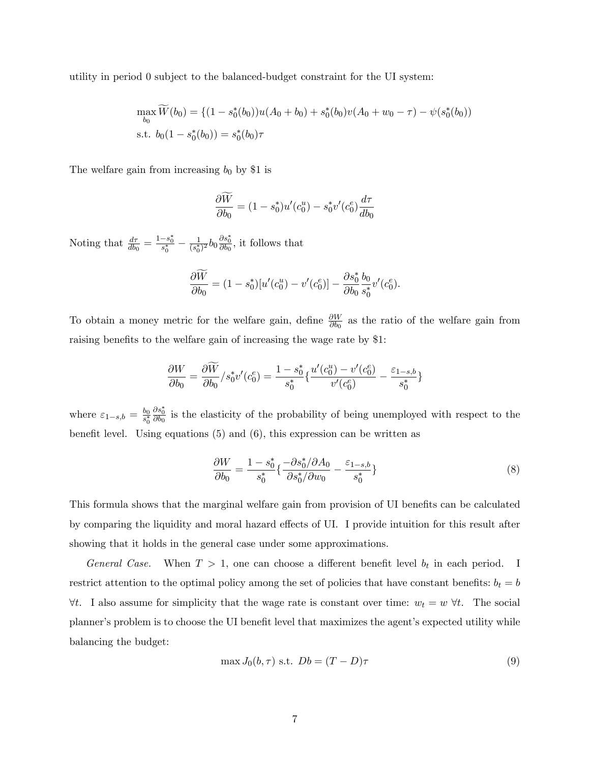utility in period 0 subject to the balanced-budget constraint for the UI system:

$$
\max_{b_0} \widetilde{W}(b_0) = \{ (1 - s_0^*(b_0))u(A_0 + b_0) + s_0^*(b_0)v(A_0 + w_0 - \tau) - \psi(s_0^*(b_0))
$$
  
s.t.  $b_0(1 - s_0^*(b_0)) = s_0^*(b_0)\tau$ 

The welfare gain from increasing  $b_0$  by \$1 is

$$
\frac{\partial \widetilde{W}}{\partial b_0} = (1 - s_0^*)u'(c_0^u) - s_0^*v'(c_0^e)\frac{d\tau}{db_0}
$$

Noting that  $\frac{d\tau}{db_0} = \frac{1-s_0^*}{s_0^*} - \frac{1}{(s_0^*)}$  $\frac{1}{(s_0^*)^2} b_0 \frac{\partial s_0^*}{\partial b_0}$ , it follows that

$$
\frac{\partial W}{\partial b_0} = (1 - s_0^*)[u'(c_0^u) - v'(c_0^e)] - \frac{\partial s_0^*}{\partial b_0} \frac{b_0}{s_0^*} v'(c_0^e).
$$

To obtain a money metric for the welfare gain, define  $\frac{\partial W}{\partial b_0}$  as the ratio of the welfare gain from raising benefits to the welfare gain of increasing the wage rate by \$1.

$$
\frac{\partial W}{\partial b_0}=\frac{\partial \widetilde{W}}{\partial b_0}/s_0^*v'(c_0^e)=\frac{1-s_0^*}{s_0^*}\{\frac{u'(c_0^u)-v'(c_0^e)}{v'(c_0^e)}-\frac{\varepsilon_{1-s,b}}{s_0^*}\}
$$

where  $\varepsilon_{1-s,b} = \frac{b_0}{s_0^*}$  $\frac{\partial s_0^*}{\partial b_0}$  is the elasticity of the probability of being unemployed with respect to the benefit level. Using equations  $(5)$  and  $(6)$ , this expression can be written as

$$
\frac{\partial W}{\partial b_0} = \frac{1 - s_0^*}{s_0^*} \left\{ \frac{-\partial s_0^*/\partial A_0}{\partial s_0^*/\partial w_0} - \frac{\varepsilon_{1-s,b}}{s_0^*} \right\} \tag{8}
$$

This formula shows that the marginal welfare gain from provision of UI benefits can be calculated by comparing the liquidity and moral hazard effects of UI. I provide intuition for this result after showing that it holds in the general case under some approximations.

General Case. When  $T > 1$ , one can choose a different benefit level  $b_t$  in each period. I restrict attention to the optimal policy among the set of policies that have constant benefits:  $b_t = b$  $\forall t$ . I also assume for simplicity that the wage rate is constant over time:  $w_t = w \ \forall t$ . The social planner's problem is to choose the UI benefit level that maximizes the agent's expected utility while balancing the budget:

$$
\max J_0(b, \tau) \text{ s.t. } Db = (T - D)\tau
$$
\n(9)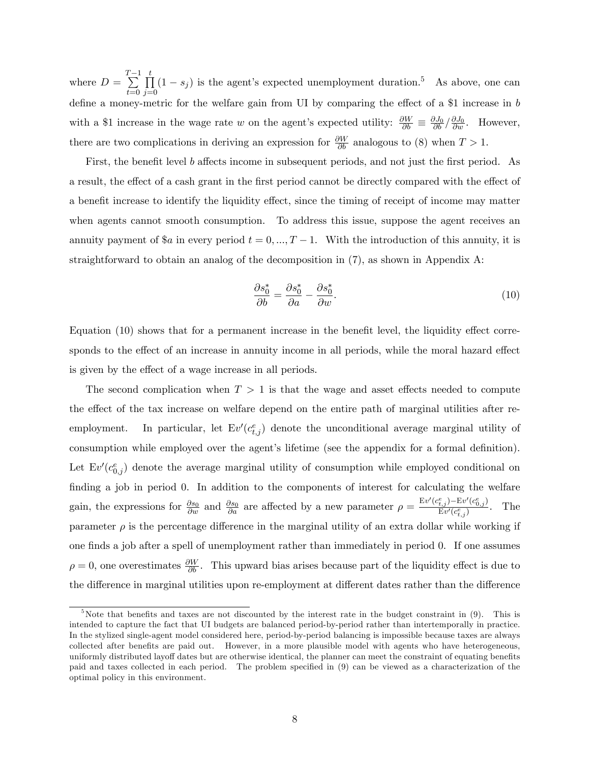where  $D =$  $\sum_{i=1}^{T-1}$  $t=0$  $\prod^t$  $\prod_{j=0} (1 - s_j)$  is the agent's expected unemployment duration.<sup>5</sup> As above, one can define a money-metric for the welfare gain from UI by comparing the effect of a \$1 increase in  $b$ with a \$1 increase in the wage rate w on the agent's expected utility:  $\frac{\partial W}{\partial b} \equiv \frac{\partial J_0}{\partial b} / \frac{\partial J_0}{\partial w}$ . However, there are two complications in deriving an expression for  $\frac{\partial W}{\partial b}$  analogous to (8) when  $T > 1$ .

First, the benefit level b affects income in subsequent periods, and not just the first period. As a result, the effect of a cash grant in the first period cannot be directly compared with the effect of a benefit increase to identify the liquidity effect, since the timing of receipt of income may matter when agents cannot smooth consumption. To address this issue, suppose the agent receives an annuity payment of \$a in every period  $t = 0, ..., T - 1$ . With the introduction of this annuity, it is straightforward to obtain an analog of the decomposition in (7), as shown in Appendix A:

$$
\frac{\partial s_0^*}{\partial b} = \frac{\partial s_0^*}{\partial a} - \frac{\partial s_0^*}{\partial w}.\tag{10}
$$

Equation  $(10)$  shows that for a permanent increase in the benefit level, the liquidity effect corresponds to the effect of an increase in annuity income in all periods, while the moral hazard effect is given by the effect of a wage increase in all periods.

The second complication when  $T > 1$  is that the wage and asset effects needed to compute the effect of the tax increase on welfare depend on the entire path of marginal utilities after reemployment. In particular, let  $Ev'(c_{t,j}^e)$  denote the unconditional average marginal utility of consumption while employed over the agent's lifetime (see the appendix for a formal definition). Let  $Ev'(c_{0,j}^e)$  denote the average marginal utility of consumption while employed conditional on finding a job in period 0. In addition to the components of interest for calculating the welfare gain, the expressions for  $\frac{\partial s_0}{\partial w}$  and  $\frac{\partial s_0}{\partial a}$  are affected by a new parameter  $\rho = \frac{E v'(c_{t,j}^e) - E v'(c_{0,j}^e)}{E v'(c_{t,j}^e)}$  $\frac{t,j}{\mathrm{E}v'(c_{t,j}^e)}$ . The parameter  $\rho$  is the percentage difference in the marginal utility of an extra dollar while working if one finds a job after a spell of unemployment rather than immediately in period 0. If one assumes  $\rho = 0$ , one overestimates  $\frac{\partial W}{\partial b}$ . This upward bias arises because part of the liquidity effect is due to the difference in marginal utilities upon re-employment at different dates rather than the difference

 $5$ Note that benefits and taxes are not discounted by the interest rate in the budget constraint in  $(9)$ . This is intended to capture the fact that UI budgets are balanced period-by-period rather than intertemporally in practice. In the stylized single-agent model considered here, period-by-period balancing is impossible because taxes are always collected after benefits are paid out. However, in a more plausible model with agents who have heterogeneous, uniformly distributed layoff dates but are otherwise identical, the planner can meet the constraint of equating benefits paid and taxes collected in each period. The problem specified in (9) can be viewed as a characterization of the optimal policy in this environment.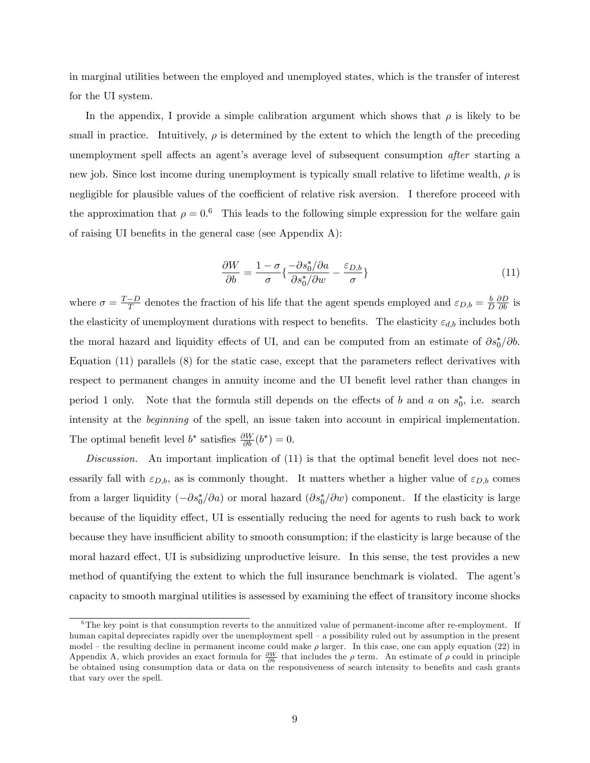in marginal utilities between the employed and unemployed states, which is the transfer of interest for the UI system.

In the appendix, I provide a simple calibration argument which shows that  $\rho$  is likely to be small in practice. Intuitively,  $\rho$  is determined by the extent to which the length of the preceding unemployment spell affects an agent's average level of subsequent consumption *after* starting a new job. Since lost income during unemployment is typically small relative to lifetime wealth,  $\rho$  is negligible for plausible values of the coefficient of relative risk aversion. I therefore proceed with the approximation that  $\rho = 0.6$  This leads to the following simple expression for the welfare gain of raising UI benefits in the general case (see Appendix  $A$ ):

$$
\frac{\partial W}{\partial b} = \frac{1 - \sigma}{\sigma} \left\{ \frac{-\partial s_0^* / \partial a}{\partial s_0^* / \partial w} - \frac{\varepsilon_{D,b}}{\sigma} \right\} \tag{11}
$$

where  $\sigma = \frac{T-D}{T}$  denotes the fraction of his life that the agent spends employed and  $\varepsilon_{D,b} = \frac{b}{L}$  $\overline{D}$  $\frac{\partial D}{\partial b}$  is the elasticity of unemployment durations with respect to benefits. The elasticity  $\varepsilon_{d,b}$  includes both the moral hazard and liquidity effects of UI, and can be computed from an estimate of  $\partial s_0^*/\partial b$ . Equation  $(11)$  parallels  $(8)$  for the static case, except that the parameters reflect derivatives with respect to permanent changes in annuity income and the UI benefit level rather than changes in period 1 only. Note that the formula still depends on the effects of b and a on  $s_0^*$ , i.e. search intensity at the beginning of the spell, an issue taken into account in empirical implementation. The optimal benefit level  $b^*$  satisfies  $\frac{\partial W}{\partial b}(b^*)=0$ .

Discussion. An important implication of  $(11)$  is that the optimal benefit level does not necessarily fall with  $\varepsilon_{D,b}$ , as is commonly thought. It matters whether a higher value of  $\varepsilon_{D,b}$  comes from a larger liquidity  $(-\partial s_0^*/\partial a)$  or moral hazard  $(\partial s_0^*/\partial w)$  component. If the elasticity is large because of the liquidity effect, UI is essentially reducing the need for agents to rush back to work because they have insufficient ability to smooth consumption; if the elasticity is large because of the moral hazard effect, UI is subsidizing unproductive leisure. In this sense, the test provides a new method of quantifying the extent to which the full insurance benchmark is violated. The agent's capacity to smooth marginal utilities is assessed by examining the effect of transitory income shocks

 $6$ The key point is that consumption reverts to the annuitized value of permanent-income after re-employment. If human capital depreciates rapidly over the unemployment spell – a possibility ruled out by assumption in the present model – the resulting decline in permanent income could make  $\rho$  larger. In this case, one can apply equation (22) in Appendix A, which provides an exact formula for  $\frac{\partial W}{\partial b}$  that includes the  $\rho$  term. An estimate of  $\rho$  could in principle be obtained using consumption data or data on the responsiveness of search intensity to benefits and cash grants that vary over the spell.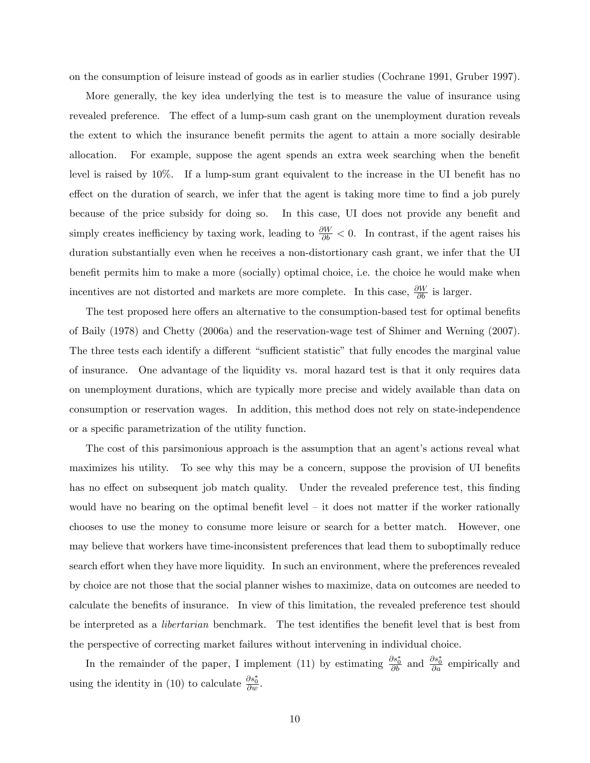on the consumption of leisure instead of goods as in earlier studies (Cochrane 1991, Gruber 1997).

More generally, the key idea underlying the test is to measure the value of insurance using revealed preference. The effect of a lump-sum cash grant on the unemployment duration reveals the extent to which the insurance benefit permits the agent to attain a more socially desirable allocation. For example, suppose the agent spends an extra week searching when the benefit level is raised by  $10\%$ . If a lump-sum grant equivalent to the increase in the UI benefit has no effect on the duration of search, we infer that the agent is taking more time to find a job purely because of the price subsidy for doing so. In this case, UI does not provide any benefit and simply creates inefficiency by taxing work, leading to  $\frac{\partial W}{\partial b} < 0$ . In contrast, if the agent raises his duration substantially even when he receives a non-distortionary cash grant, we infer that the UI benefit permits him to make a more (socially) optimal choice, i.e. the choice he would make when incentives are not distorted and markets are more complete. In this case,  $\frac{\partial W}{\partial b}$  is larger.

The test proposed here offers an alternative to the consumption-based test for optimal benefits of Baily (1978) and Chetty (2006a) and the reservation-wage test of Shimer and Werning (2007). The three tests each identify a different "sufficient statistic" that fully encodes the marginal value of insurance. One advantage of the liquidity vs. moral hazard test is that it only requires data on unemployment durations, which are typically more precise and widely available than data on consumption or reservation wages. In addition, this method does not rely on state-independence or a specific parametrization of the utility function.

The cost of this parsimonious approach is the assumption that an agent's actions reveal what maximizes his utility. To see why this may be a concern, suppose the provision of UI benefits has no effect on subsequent job match quality. Under the revealed preference test, this finding would have no bearing on the optimal benefit level  $-$  it does not matter if the worker rationally chooses to use the money to consume more leisure or search for a better match. However, one may believe that workers have time-inconsistent preferences that lead them to suboptimally reduce search effort when they have more liquidity. In such an environment, where the preferences revealed by choice are not those that the social planner wishes to maximize, data on outcomes are needed to calculate the benefits of insurance. In view of this limitation, the revealed preference test should be interpreted as a *libertarian* benchmark. The test identifies the benefit level that is best from the perspective of correcting market failures without intervening in individual choice.

In the remainder of the paper, I implement (11) by estimating  $\frac{\partial s_0^*}{\partial b}$  and  $\frac{\partial s_0^*}{\partial a}$  empirically and using the identity in (10) to calculate  $\frac{\partial s_0^*}{\partial w}$ .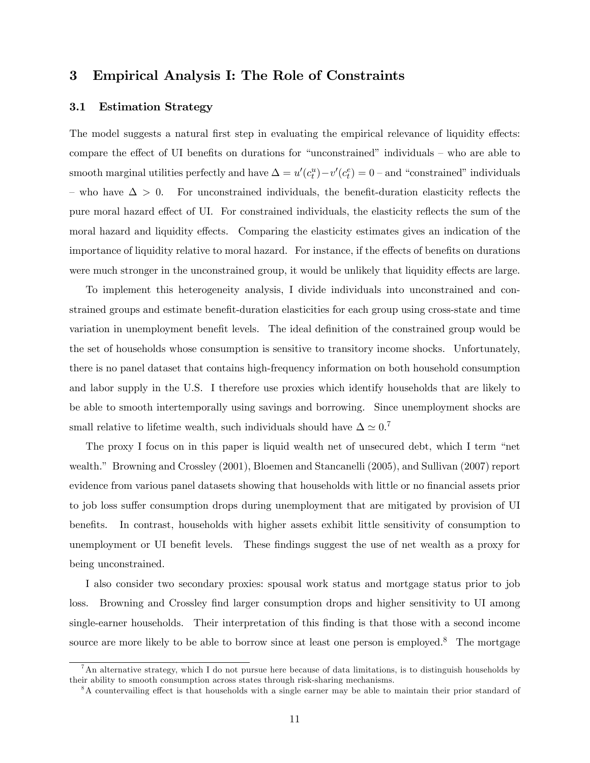# 3 Empirical Analysis I: The Role of Constraints

## 3.1 Estimation Strategy

The model suggests a natural first step in evaluating the empirical relevance of liquidity effects: compare the effect of UI benefits on durations for "unconstrained" individuals  $-$  who are able to smooth marginal utilities perfectly and have  $\Delta = u'(c_t^u) - v'(c_t^e) = 0$  – and "constrained" individuals – who have  $\Delta > 0$ . For unconstrained individuals, the benefit-duration elasticity reflects the pure moral hazard effect of UI. For constrained individuals, the elasticity reflects the sum of the moral hazard and liquidity effects. Comparing the elasticity estimates gives an indication of the importance of liquidity relative to moral hazard. For instance, if the effects of benefits on durations were much stronger in the unconstrained group, it would be unlikely that liquidity effects are large.

To implement this heterogeneity analysis, I divide individuals into unconstrained and constrained groups and estimate benefit-duration elasticities for each group using cross-state and time variation in unemployment benefit levels. The ideal definition of the constrained group would be the set of households whose consumption is sensitive to transitory income shocks. Unfortunately, there is no panel dataset that contains high-frequency information on both household consumption and labor supply in the U.S. I therefore use proxies which identify households that are likely to be able to smooth intertemporally using savings and borrowing. Since unemployment shocks are small relative to lifetime wealth, such individuals should have  $\Delta \simeq 0$ .<sup>7</sup>

The proxy I focus on in this paper is liquid wealth net of unsecured debt, which I term "net wealth." Browning and Crossley (2001), Bloemen and Stancanelli (2005), and Sullivan (2007) report evidence from various panel datasets showing that households with little or no financial assets prior to job loss suffer consumption drops during unemployment that are mitigated by provision of UI benefits. In contrast, households with higher assets exhibit little sensitivity of consumption to unemployment or UI benefit levels. These findings suggest the use of net wealth as a proxy for being unconstrained.

I also consider two secondary proxies: spousal work status and mortgage status prior to job loss. Browning and Crossley find larger consumption drops and higher sensitivity to UI among single-earner households. Their interpretation of this finding is that those with a second income source are more likely to be able to borrow since at least one person is employed.<sup>8</sup> The mortgage

 $^7$ An alternative strategy, which I do not pursue here because of data limitations, is to distinguish households by their ability to smooth consumption across states through risk-sharing mechanisms.

 $8A$  countervailing effect is that households with a single earner may be able to maintain their prior standard of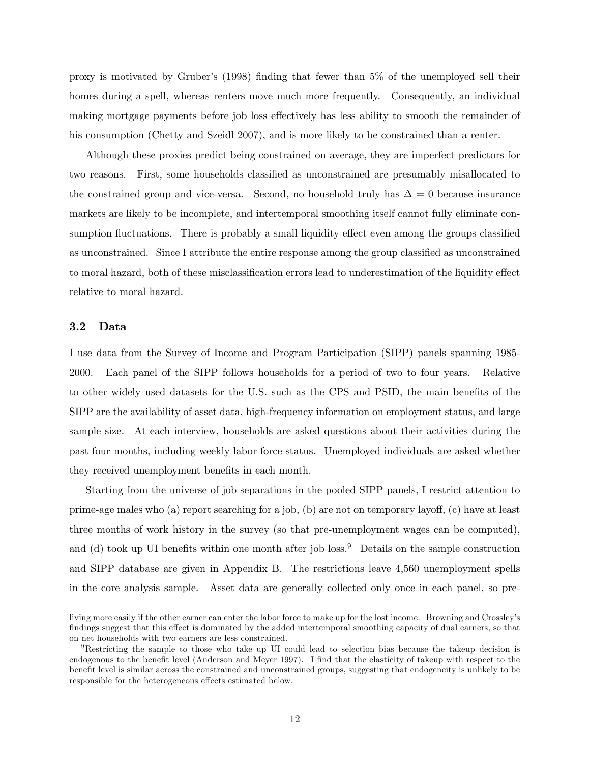proxy is motivated by Gruberís (1998) Önding that fewer than 5% of the unemployed sell their homes during a spell, whereas renters move much more frequently. Consequently, an individual making mortgage payments before job loss effectively has less ability to smooth the remainder of his consumption (Chetty and Szeidl 2007), and is more likely to be constrained than a renter.

Although these proxies predict being constrained on average, they are imperfect predictors for two reasons. First, some households classified as unconstrained are presumably misallocated to the constrained group and vice-versa. Second, no household truly has  $\Delta = 0$  because insurance markets are likely to be incomplete, and intertemporal smoothing itself cannot fully eliminate consumption fluctuations. There is probably a small liquidity effect even among the groups classified as unconstrained. Since I attribute the entire response among the group classified as unconstrained to moral hazard, both of these misclassification errors lead to underestimation of the liquidity effect relative to moral hazard.

## 3.2 Data

I use data from the Survey of Income and Program Participation (SIPP) panels spanning 1985- 2000. Each panel of the SIPP follows households for a period of two to four years. Relative to other widely used datasets for the U.S. such as the CPS and PSID, the main benefits of the SIPP are the availability of asset data, high-frequency information on employment status, and large sample size. At each interview, households are asked questions about their activities during the past four months, including weekly labor force status. Unemployed individuals are asked whether they received unemployment benefits in each month.

Starting from the universe of job separations in the pooled SIPP panels, I restrict attention to prime-age males who (a) report searching for a job, (b) are not on temporary layoff, (c) have at least three months of work history in the survey (so that pre-unemployment wages can be computed), and (d) took up UI benefits within one month after job loss.<sup>9</sup> Details on the sample construction and SIPP database are given in Appendix B. The restrictions leave 4,560 unemployment spells in the core analysis sample. Asset data are generally collected only once in each panel, so pre-

living more easily if the other earner can enter the labor force to make up for the lost income. Browning and Crossley's findings suggest that this effect is dominated by the added intertemporal smoothing capacity of dual earners, so that on net households with two earners are less constrained.

<sup>9</sup>Restricting the sample to those who take up UI could lead to selection bias because the takeup decision is endogenous to the benefit level (Anderson and Meyer 1997). I find that the elasticity of takeup with respect to the benefit level is similar across the constrained and unconstrained groups, suggesting that endogeneity is unlikely to be responsible for the heterogeneous effects estimated below.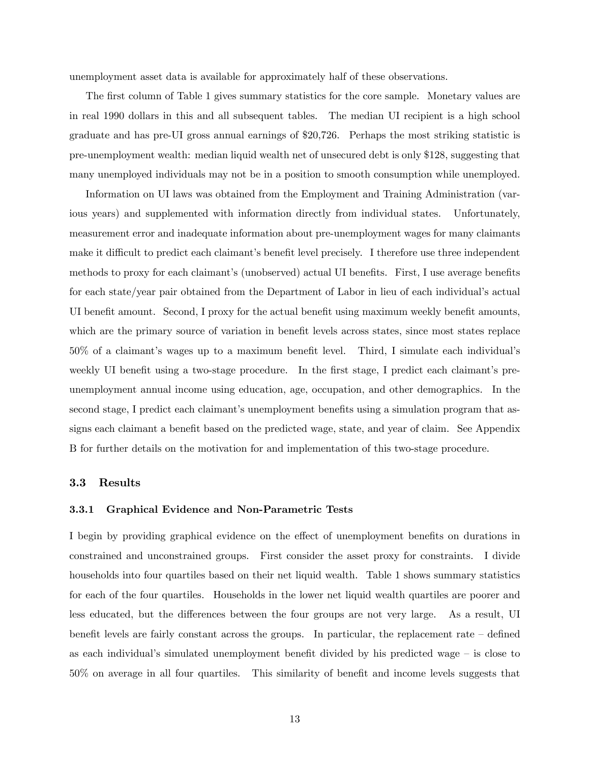unemployment asset data is available for approximately half of these observations.

The first column of Table 1 gives summary statistics for the core sample. Monetary values are in real 1990 dollars in this and all subsequent tables. The median UI recipient is a high school graduate and has pre-UI gross annual earnings of \$20,726. Perhaps the most striking statistic is pre-unemployment wealth: median liquid wealth net of unsecured debt is only \$128, suggesting that many unemployed individuals may not be in a position to smooth consumption while unemployed.

Information on UI laws was obtained from the Employment and Training Administration (various years) and supplemented with information directly from individual states. Unfortunately, measurement error and inadequate information about pre-unemployment wages for many claimants make it difficult to predict each claimant's benefit level precisely. I therefore use three independent methods to proxy for each claimant's (unobserved) actual UI benefits. First, I use average benefits for each state/year pair obtained from the Department of Labor in lieu of each individualís actual UI benefit amount. Second, I proxy for the actual benefit using maximum weekly benefit amounts, which are the primary source of variation in benefit levels across states, since most states replace  $50\%$  of a claimant's wages up to a maximum benefit level. Third, I simulate each individual's weekly UI benefit using a two-stage procedure. In the first stage, I predict each claimant's preunemployment annual income using education, age, occupation, and other demographics. In the second stage, I predict each claimant's unemployment benefits using a simulation program that assigns each claimant a benefit based on the predicted wage, state, and year of claim. See Appendix B for further details on the motivation for and implementation of this two-stage procedure.

### 3.3 Results

#### 3.3.1 Graphical Evidence and Non-Parametric Tests

I begin by providing graphical evidence on the effect of unemployment benefits on durations in constrained and unconstrained groups. First consider the asset proxy for constraints. I divide households into four quartiles based on their net liquid wealth. Table 1 shows summary statistics for each of the four quartiles. Households in the lower net liquid wealth quartiles are poorer and less educated, but the differences between the four groups are not very large. As a result, UI benefit levels are fairly constant across the groups. In particular, the replacement rate  $-\theta$  defined as each individual's simulated unemployment benefit divided by his predicted wage  $-$  is close to  $50\%$  on average in all four quartiles. This similarity of benefit and income levels suggests that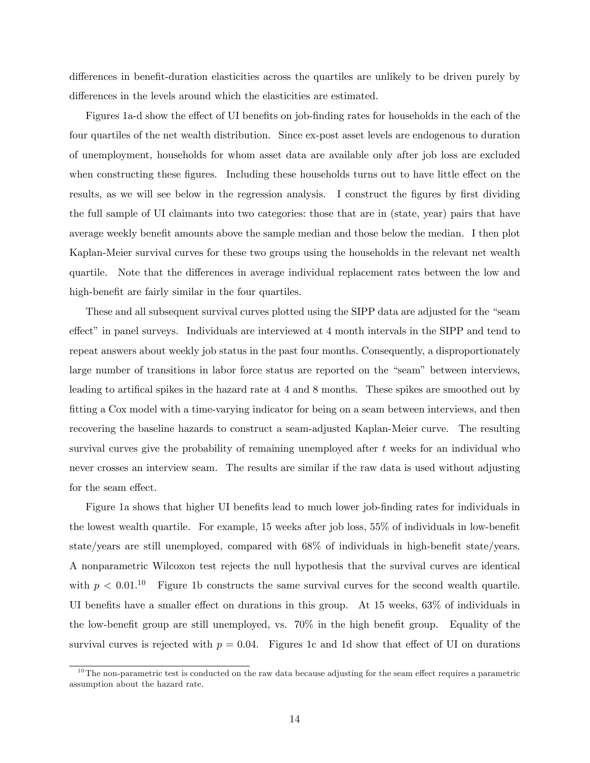differences in benefit-duration elasticities across the quartiles are unlikely to be driven purely by differences in the levels around which the elasticities are estimated.

Figures 1a-d show the effect of UI benefits on job-finding rates for households in the each of the four quartiles of the net wealth distribution. Since ex-post asset levels are endogenous to duration of unemployment, households for whom asset data are available only after job loss are excluded when constructing these figures. Including these households turns out to have little effect on the results, as we will see below in the regression analysis. I construct the figures by first dividing the full sample of UI claimants into two categories: those that are in (state, year) pairs that have average weekly benefit amounts above the sample median and those below the median. I then plot Kaplan-Meier survival curves for these two groups using the households in the relevant net wealth quartile. Note that the differences in average individual replacement rates between the low and high-benefit are fairly similar in the four quartiles.

These and all subsequent survival curves plotted using the SIPP data are adjusted for the "seam" effect" in panel surveys. Individuals are interviewed at 4 month intervals in the SIPP and tend to repeat answers about weekly job status in the past four months. Consequently, a disproportionately large number of transitions in labor force status are reported on the "seam" between interviews, leading to artifical spikes in the hazard rate at 4 and 8 months. These spikes are smoothed out by fitting a Cox model with a time-varying indicator for being on a seam between interviews, and then recovering the baseline hazards to construct a seam-adjusted Kaplan-Meier curve. The resulting survival curves give the probability of remaining unemployed after  $t$  weeks for an individual who never crosses an interview seam. The results are similar if the raw data is used without adjusting for the seam effect.

Figure 1a shows that higher UI benefits lead to much lower job-finding rates for individuals in the lowest wealth quartile. For example,  $15$  weeks after job loss,  $55\%$  of individuals in low-benefit state/years are still unemployed, compared with  $68\%$  of individuals in high-benefit state/years. A nonparametric Wilcoxon test rejects the null hypothesis that the survival curves are identical with  $p < 0.01$ .<sup>10</sup> Figure 1b constructs the same survival curves for the second wealth quartile. UI benefits have a smaller effect on durations in this group. At  $15$  weeks,  $63\%$  of individuals in the low-benefit group are still unemployed, vs.  $70\%$  in the high benefit group. Equality of the survival curves is rejected with  $p = 0.04$ . Figures 1c and 1d show that effect of UI on durations

 $10$ The non-parametric test is conducted on the raw data because adjusting for the seam effect requires a parametric assumption about the hazard rate.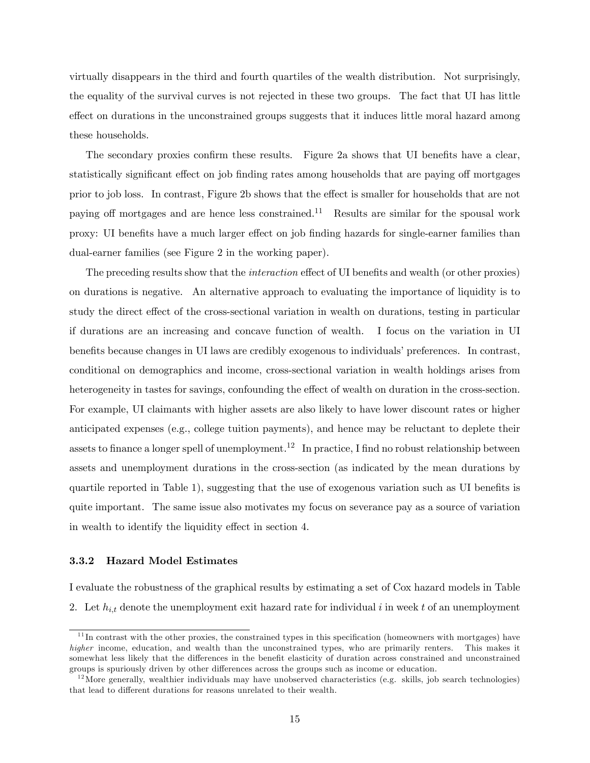virtually disappears in the third and fourth quartiles of the wealth distribution. Not surprisingly, the equality of the survival curves is not rejected in these two groups. The fact that UI has little effect on durations in the unconstrained groups suggests that it induces little moral hazard among these households.

The secondary proxies confirm these results. Figure 2a shows that UI benefits have a clear, statistically significant effect on job finding rates among households that are paying off mortgages prior to job loss. In contrast, Figure 2b shows that the effect is smaller for households that are not paying off mortgages and are hence less constrained.<sup>11</sup> Results are similar for the spousal work proxy: UI benefits have a much larger effect on job finding hazards for single-earner families than dual-earner families (see Figure 2 in the working paper).

The preceding results show that the *interaction* effect of UI benefits and wealth (or other proxies) on durations is negative. An alternative approach to evaluating the importance of liquidity is to study the direct effect of the cross-sectional variation in wealth on durations, testing in particular if durations are an increasing and concave function of wealth. I focus on the variation in UI benefits because changes in UI laws are credibly exogenous to individuals' preferences. In contrast, conditional on demographics and income, cross-sectional variation in wealth holdings arises from heterogeneity in tastes for savings, confounding the effect of wealth on duration in the cross-section. For example, UI claimants with higher assets are also likely to have lower discount rates or higher anticipated expenses (e.g., college tuition payments), and hence may be reluctant to deplete their assets to finance a longer spell of unemployment.<sup>12</sup> In practice, I find no robust relationship between assets and unemployment durations in the cross-section (as indicated by the mean durations by quartile reported in Table 1), suggesting that the use of exogenous variation such as UI benefits is quite important. The same issue also motivates my focus on severance pay as a source of variation in wealth to identify the liquidity effect in section 4.

## 3.3.2 Hazard Model Estimates

I evaluate the robustness of the graphical results by estimating a set of Cox hazard models in Table 2. Let  $h_{i,t}$  denote the unemployment exit hazard rate for individual i in week t of an unemployment

 $11$ In contrast with the other proxies, the constrained types in this specification (homeowners with mortgages) have higher income, education, and wealth than the unconstrained types, who are primarily renters. This makes it somewhat less likely that the differences in the benefit elasticity of duration across constrained and unconstrained groups is spuriously driven by other differences across the groups such as income or education.

 $12$  More generally, wealthier individuals may have unobserved characteristics (e.g. skills, job search technologies) that lead to different durations for reasons unrelated to their wealth.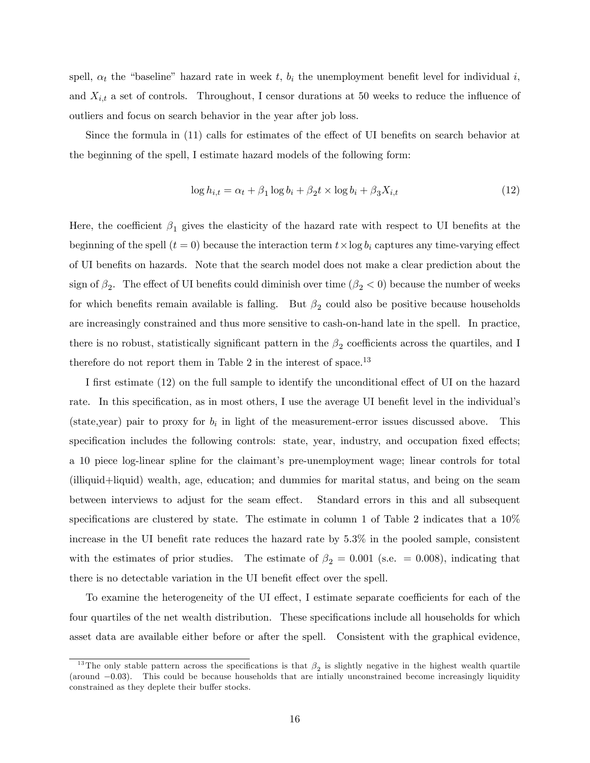spell,  $\alpha_t$  the "baseline" hazard rate in week t,  $b_i$  the unemployment benefit level for individual i, and  $X_{i,t}$  a set of controls. Throughout, I censor durations at 50 weeks to reduce the influence of outliers and focus on search behavior in the year after job loss.

Since the formula in  $(11)$  calls for estimates of the effect of UI benefits on search behavior at the beginning of the spell, I estimate hazard models of the following form:

$$
\log h_{i,t} = \alpha_t + \beta_1 \log b_i + \beta_2 t \times \log b_i + \beta_3 X_{i,t}
$$
\n(12)

Here, the coefficient  $\beta_1$  gives the elasticity of the hazard rate with respect to UI benefits at the beginning of the spell  $(t = 0)$  because the interaction term  $t \times \log b_i$  captures any time-varying effect of UI benefits on hazards. Note that the search model does not make a clear prediction about the sign of  $\beta_2$ . The effect of UI benefits could diminish over time  $(\beta_2 < 0)$  because the number of weeks for which benefits remain available is falling. But  $\beta_2$  could also be positive because households are increasingly constrained and thus more sensitive to cash-on-hand late in the spell. In practice, there is no robust, statistically significant pattern in the  $\beta_2$  coefficients across the quartiles, and I therefore do not report them in Table 2 in the interest of space.<sup>13</sup>

I first estimate (12) on the full sample to identify the unconditional effect of UI on the hazard rate. In this specification, as in most others, I use the average UI benefit level in the individual's (state,year) pair to proxy for  $b_i$  in light of the measurement-error issues discussed above. This specification includes the following controls: state, year, industry, and occupation fixed effects; a 10 piece log-linear spline for the claimant's pre-unemployment wage; linear controls for total (illiquid+liquid) wealth, age, education; and dummies for marital status, and being on the seam between interviews to adjust for the seam effect. Standard errors in this and all subsequent specifications are clustered by state. The estimate in column 1 of Table 2 indicates that a  $10\%$ increase in the UI benefit rate reduces the hazard rate by  $5.3\%$  in the pooled sample, consistent with the estimates of prior studies. The estimate of  $\beta_2 = 0.001$  (s.e.  $= 0.008$ ), indicating that there is no detectable variation in the UI benefit effect over the spell.

To examine the heterogeneity of the UI effect, I estimate separate coefficients for each of the four quartiles of the net wealth distribution. These specifications include all households for which asset data are available either before or after the spell. Consistent with the graphical evidence,

<sup>&</sup>lt;sup>13</sup>The only stable pattern across the specifications is that  $\beta_2$  is slightly negative in the highest wealth quartile (around  $-0.03$ ). This could be because households that are intially unconstrained become increasingly liquidity constrained as they deplete their buffer stocks.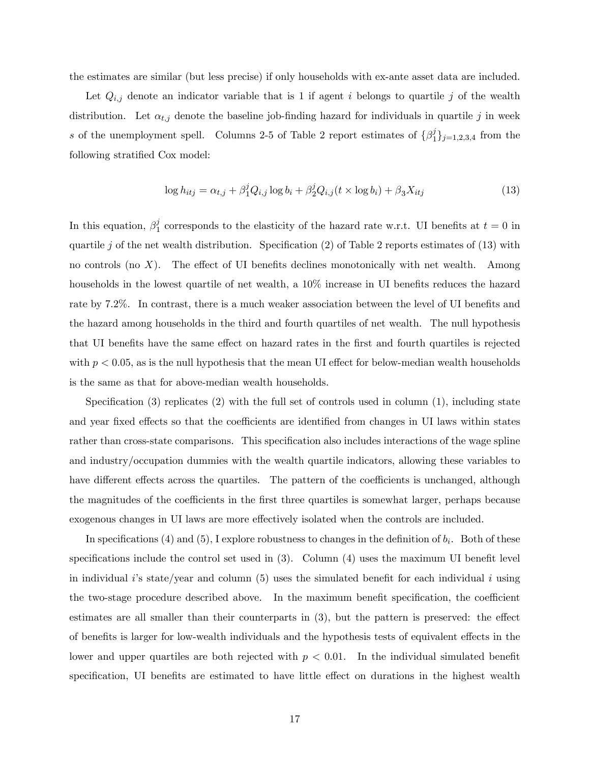the estimates are similar (but less precise) if only households with ex-ante asset data are included.

Let  $Q_{i,j}$  denote an indicator variable that is 1 if agent i belongs to quartile j of the wealth distribution. Let  $\alpha_{t,j}$  denote the baseline job-finding hazard for individuals in quartile j in week s of the unemployment spell. Columns 2-5 of Table 2 report estimates of  $\{\beta_1^j\}$  $_{1}^{j}\}_{j=1,2,3,4}$  from the following stratified Cox model:

$$
\log h_{itj} = \alpha_{t,j} + \beta_1^j Q_{i,j} \log b_i + \beta_2^j Q_{i,j}(t \times \log b_i) + \beta_3 X_{itj}
$$
\n(13)

In this equation,  $\beta_1^j$  $\frac{1}{1}$  corresponds to the elasticity of the hazard rate w.r.t. UI benefits at  $t = 0$  in quartile j of the net wealth distribution. Specification (2) of Table 2 reports estimates of (13) with no controls (no  $X$ ). The effect of UI benefits declines monotonically with net wealth. Among households in the lowest quartile of net wealth, a  $10\%$  increase in UI benefits reduces the hazard rate by 7.2%. In contrast, there is a much weaker association between the level of UI benefits and the hazard among households in the third and fourth quartiles of net wealth. The null hypothesis that UI benefits have the same effect on hazard rates in the first and fourth quartiles is rejected with  $p < 0.05$ , as is the null hypothesis that the mean UI effect for below-median wealth households is the same as that for above-median wealth households.

Specification  $(3)$  replicates  $(2)$  with the full set of controls used in column  $(1)$ , including state and year fixed effects so that the coefficients are identified from changes in UI laws within states rather than cross-state comparisons. This specification also includes interactions of the wage spline and industry/occupation dummies with the wealth quartile indicators, allowing these variables to have different effects across the quartiles. The pattern of the coefficients is unchanged, although the magnitudes of the coefficients in the first three quartiles is somewhat larger, perhaps because exogenous changes in UI laws are more effectively isolated when the controls are included.

In specifications (4) and (5), I explore robustness to changes in the definition of  $b_i$ . Both of these specifications include the control set used in  $(3)$ . Column  $(4)$  uses the maximum UI benefit level in individual i's state/year and column  $(5)$  uses the simulated benefit for each individual i using the two-stage procedure described above. In the maximum benefit specification, the coefficient estimates are all smaller than their counterparts in  $(3)$ , but the pattern is preserved: the effect of benefits is larger for low-wealth individuals and the hypothesis tests of equivalent effects in the lower and upper quartiles are both rejected with  $p < 0.01$ . In the individual simulated benefit specification, UI benefits are estimated to have little effect on durations in the highest wealth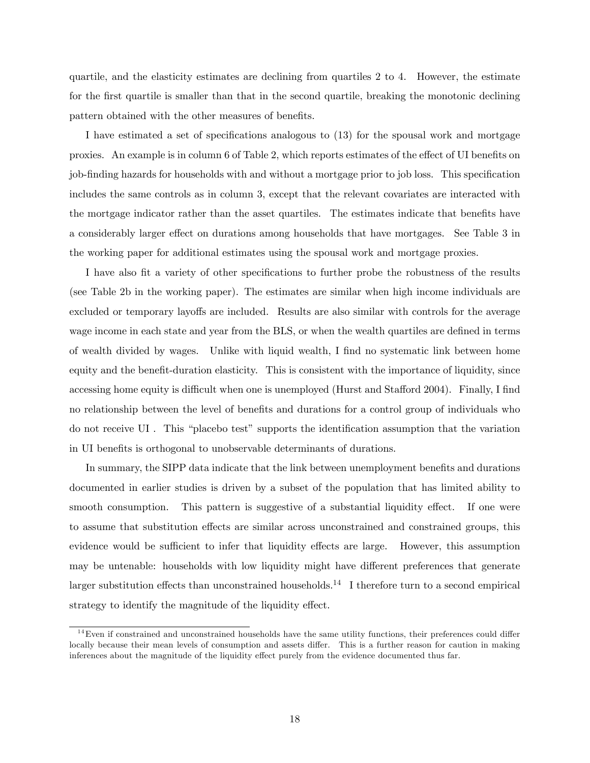quartile, and the elasticity estimates are declining from quartiles 2 to 4. However, the estimate for the first quartile is smaller than that in the second quartile, breaking the monotonic declining pattern obtained with the other measures of benefits.

I have estimated a set of specifications analogous to  $(13)$  for the spousal work and mortgage proxies. An example is in column 6 of Table 2, which reports estimates of the effect of UI benefits on job-finding hazards for households with and without a mortgage prior to job loss. This specification includes the same controls as in column 3, except that the relevant covariates are interacted with the mortgage indicator rather than the asset quartiles. The estimates indicate that benefits have a considerably larger effect on durations among households that have mortgages. See Table 3 in the working paper for additional estimates using the spousal work and mortgage proxies.

I have also fit a variety of other specifications to further probe the robustness of the results (see Table 2b in the working paper). The estimates are similar when high income individuals are excluded or temporary layoffs are included. Results are also similar with controls for the average wage income in each state and year from the BLS, or when the wealth quartiles are defined in terms of wealth divided by wages. Unlike with liquid wealth, I Önd no systematic link between home equity and the benefit-duration elasticity. This is consistent with the importance of liquidity, since accessing home equity is difficult when one is unemployed (Hurst and Stafford 2004). Finally, I find no relationship between the level of benefits and durations for a control group of individuals who do not receive UI. This "placebo test" supports the identification assumption that the variation in UI benefits is orthogonal to unobservable determinants of durations.

In summary, the SIPP data indicate that the link between unemployment benefits and durations documented in earlier studies is driven by a subset of the population that has limited ability to smooth consumption. This pattern is suggestive of a substantial liquidity effect. If one were to assume that substitution effects are similar across unconstrained and constrained groups, this evidence would be sufficient to infer that liquidity effects are large. However, this assumption may be untenable: households with low liquidity might have different preferences that generate larger substitution effects than unconstrained households.<sup>14</sup> I therefore turn to a second empirical strategy to identify the magnitude of the liquidity effect.

 $14$  Even if constrained and unconstrained households have the same utility functions, their preferences could differ locally because their mean levels of consumption and assets differ. This is a further reason for caution in making inferences about the magnitude of the liquidity effect purely from the evidence documented thus far.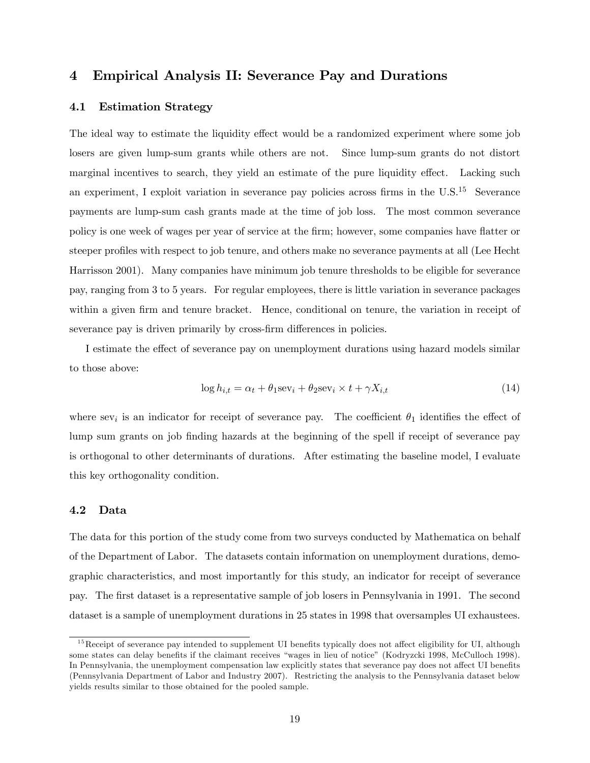# 4 Empirical Analysis II: Severance Pay and Durations

## 4.1 Estimation Strategy

The ideal way to estimate the liquidity effect would be a randomized experiment where some job losers are given lump-sum grants while others are not. Since lump-sum grants do not distort marginal incentives to search, they yield an estimate of the pure liquidity effect. Lacking such an experiment, I exploit variation in severance pay policies across firms in the U.S.<sup>15</sup> Severance payments are lump-sum cash grants made at the time of job loss. The most common severance policy is one week of wages per year of service at the firm; however, some companies have flatter or steeper profiles with respect to job tenure, and others make no severance payments at all (Lee Hecht Harrisson 2001). Many companies have minimum job tenure thresholds to be eligible for severance pay, ranging from 3 to 5 years. For regular employees, there is little variation in severance packages within a given firm and tenure bracket. Hence, conditional on tenure, the variation in receipt of severance pay is driven primarily by cross-firm differences in policies.

I estimate the effect of severance pay on unemployment durations using hazard models similar to those above:

$$
\log h_{i,t} = \alpha_t + \theta_1 \text{sev}_i + \theta_2 \text{sev}_i \times t + \gamma X_{i,t}
$$
\n(14)

where sev<sub>i</sub> is an indicator for receipt of severance pay. The coefficient  $\theta_1$  identifies the effect of lump sum grants on job finding hazards at the beginning of the spell if receipt of severance pay is orthogonal to other determinants of durations. After estimating the baseline model, I evaluate this key orthogonality condition.

### 4.2 Data

The data for this portion of the study come from two surveys conducted by Mathematica on behalf of the Department of Labor. The datasets contain information on unemployment durations, demographic characteristics, and most importantly for this study, an indicator for receipt of severance pay. The Örst dataset is a representative sample of job losers in Pennsylvania in 1991. The second dataset is a sample of unemployment durations in 25 states in 1998 that oversamples UI exhaustees.

 $15$ Receipt of severance pay intended to supplement UI benefits typically does not affect eligibility for UI, although some states can delay benefits if the claimant receives "wages in lieu of notice" (Kodryzcki 1998, McCulloch 1998). In Pennsylvania, the unemployment compensation law explicitly states that severance pay does not affect UI benefits (Pennsylvania Department of Labor and Industry 2007). Restricting the analysis to the Pennsylvania dataset below yields results similar to those obtained for the pooled sample.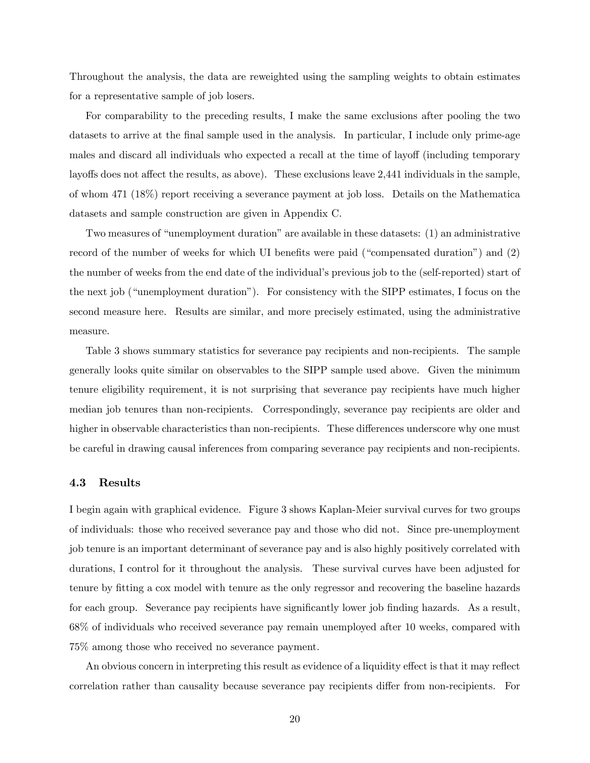Throughout the analysis, the data are reweighted using the sampling weights to obtain estimates for a representative sample of job losers.

For comparability to the preceding results, I make the same exclusions after pooling the two datasets to arrive at the final sample used in the analysis. In particular, I include only prime-age males and discard all individuals who expected a recall at the time of layoff (including temporary layoffs does not affect the results, as above). These exclusions leave 2,441 individuals in the sample, of whom 471 (18%) report receiving a severance payment at job loss. Details on the Mathematica datasets and sample construction are given in Appendix C.

Two measures of "unemployment duration" are available in these datasets: (1) an administrative record of the number of weeks for which UI benefits were paid ("compensated duration") and  $(2)$ the number of weeks from the end date of the individualís previous job to the (self-reported) start of the next job ("unemployment duration"). For consistency with the SIPP estimates, I focus on the second measure here. Results are similar, and more precisely estimated, using the administrative measure.

Table 3 shows summary statistics for severance pay recipients and non-recipients. The sample generally looks quite similar on observables to the SIPP sample used above. Given the minimum tenure eligibility requirement, it is not surprising that severance pay recipients have much higher median job tenures than non-recipients. Correspondingly, severance pay recipients are older and higher in observable characteristics than non-recipients. These differences underscore why one must be careful in drawing causal inferences from comparing severance pay recipients and non-recipients.

### 4.3 Results

I begin again with graphical evidence. Figure 3 shows Kaplan-Meier survival curves for two groups of individuals: those who received severance pay and those who did not. Since pre-unemployment job tenure is an important determinant of severance pay and is also highly positively correlated with durations, I control for it throughout the analysis. These survival curves have been adjusted for tenure by fitting a cox model with tenure as the only regressor and recovering the baseline hazards for each group. Severance pay recipients have significantly lower job finding hazards. As a result, 68% of individuals who received severance pay remain unemployed after 10 weeks, compared with 75% among those who received no severance payment.

An obvious concern in interpreting this result as evidence of a liquidity effect is that it may reflect correlation rather than causality because severance pay recipients differ from non-recipients. For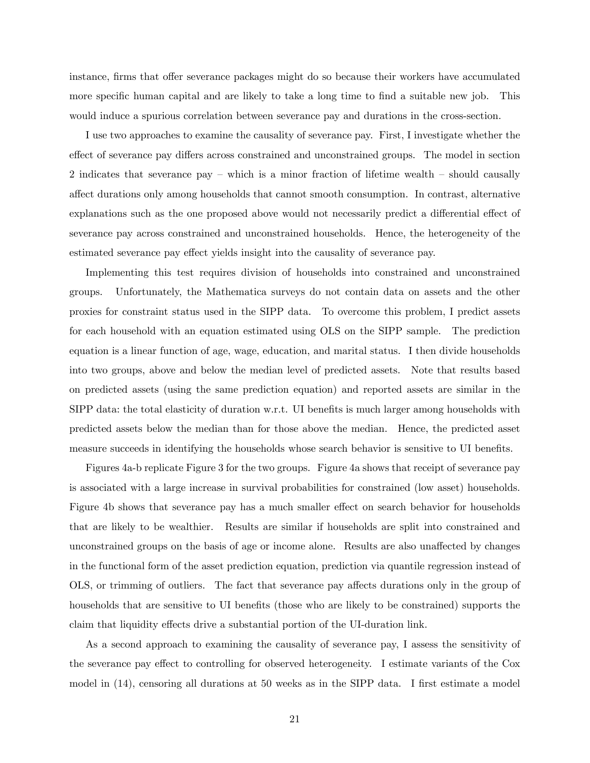instance, firms that offer severance packages might do so because their workers have accumulated more specific human capital and are likely to take a long time to find a suitable new job. This would induce a spurious correlation between severance pay and durations in the cross-section.

I use two approaches to examine the causality of severance pay. First, I investigate whether the effect of severance pay differs across constrained and unconstrained groups. The model in section 2 indicates that severance pay  $-$  which is a minor fraction of lifetime wealth  $-$  should causally affect durations only among households that cannot smooth consumption. In contrast, alternative explanations such as the one proposed above would not necessarily predict a differential effect of severance pay across constrained and unconstrained households. Hence, the heterogeneity of the estimated severance pay effect yields insight into the causality of severance pay.

Implementing this test requires division of households into constrained and unconstrained groups. Unfortunately, the Mathematica surveys do not contain data on assets and the other proxies for constraint status used in the SIPP data. To overcome this problem, I predict assets for each household with an equation estimated using OLS on the SIPP sample. The prediction equation is a linear function of age, wage, education, and marital status. I then divide households into two groups, above and below the median level of predicted assets. Note that results based on predicted assets (using the same prediction equation) and reported assets are similar in the  $SIPP$  data: the total elasticity of duration w.r.t. UI benefits is much larger among households with predicted assets below the median than for those above the median. Hence, the predicted asset measure succeeds in identifying the households whose search behavior is sensitive to UI benefits.

Figures 4a-b replicate Figure 3 for the two groups. Figure 4a shows that receipt of severance pay is associated with a large increase in survival probabilities for constrained (low asset) households. Figure 4b shows that severance pay has a much smaller effect on search behavior for households that are likely to be wealthier. Results are similar if households are split into constrained and unconstrained groups on the basis of age or income alone. Results are also unaffected by changes in the functional form of the asset prediction equation, prediction via quantile regression instead of OLS, or trimming of outliers. The fact that severance pay affects durations only in the group of households that are sensitive to UI benefits (those who are likely to be constrained) supports the claim that liquidity effects drive a substantial portion of the UI-duration link.

As a second approach to examining the causality of severance pay, I assess the sensitivity of the severance pay effect to controlling for observed heterogeneity. I estimate variants of the Cox model in  $(14)$ , censoring all durations at 50 weeks as in the SIPP data. I first estimate a model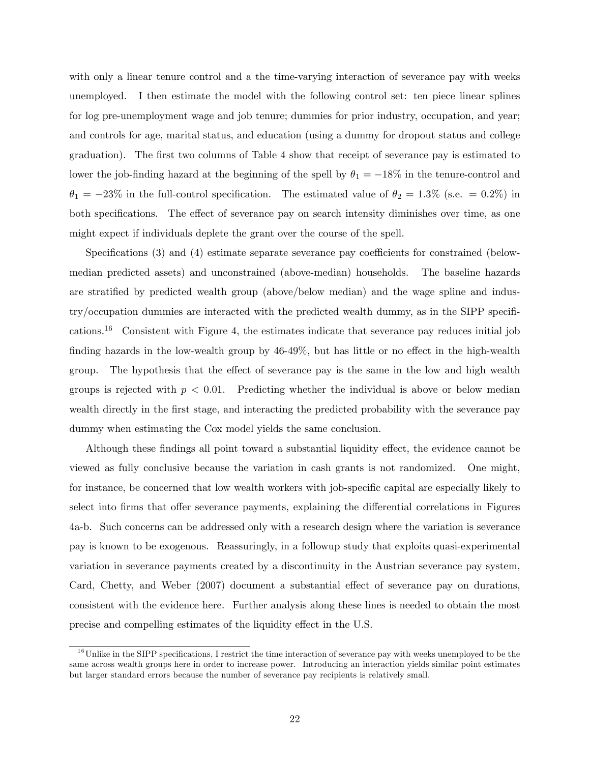with only a linear tenure control and a the time-varying interaction of severance pay with weeks unemployed. I then estimate the model with the following control set: ten piece linear splines for log pre-unemployment wage and job tenure; dummies for prior industry, occupation, and year; and controls for age, marital status, and education (using a dummy for dropout status and college graduation). The first two columns of Table 4 show that receipt of severance pay is estimated to lower the job-finding hazard at the beginning of the spell by  $\theta_1 = -18\%$  in the tenure-control and  $\theta_1 = -23\%$  in the full-control specification. The estimated value of  $\theta_2 = 1.3\%$  (s.e. = 0.2%) in both specifications. The effect of severance pay on search intensity diminishes over time, as one might expect if individuals deplete the grant over the course of the spell.

Specifications  $(3)$  and  $(4)$  estimate separate severance pay coefficients for constrained (belowmedian predicted assets) and unconstrained (above-median) households. The baseline hazards are stratified by predicted wealth group (above/below median) and the wage spline and indus $try/occupation$  dummies are interacted with the predicted wealth dummy, as in the SIPP specifications.<sup>16</sup> Consistent with Figure 4, the estimates indicate that severance pay reduces initial job finding hazards in the low-wealth group by  $46-49\%$ , but has little or no effect in the high-wealth group. The hypothesis that the effect of severance pay is the same in the low and high wealth groups is rejected with  $p < 0.01$ . Predicting whether the individual is above or below median wealth directly in the first stage, and interacting the predicted probability with the severance pay dummy when estimating the Cox model yields the same conclusion.

Although these findings all point toward a substantial liquidity effect, the evidence cannot be viewed as fully conclusive because the variation in cash grants is not randomized. One might, for instance, be concerned that low wealth workers with job-specific capital are especially likely to select into firms that offer severance payments, explaining the differential correlations in Figures 4a-b. Such concerns can be addressed only with a research design where the variation is severance pay is known to be exogenous. Reassuringly, in a followup study that exploits quasi-experimental variation in severance payments created by a discontinuity in the Austrian severance pay system, Card, Chetty, and Weber (2007) document a substantial effect of severance pay on durations, consistent with the evidence here. Further analysis along these lines is needed to obtain the most precise and compelling estimates of the liquidity effect in the U.S.

 $16$ Unlike in the SIPP specifications, I restrict the time interaction of severance pay with weeks unemployed to be the same across wealth groups here in order to increase power. Introducing an interaction yields similar point estimates but larger standard errors because the number of severance pay recipients is relatively small.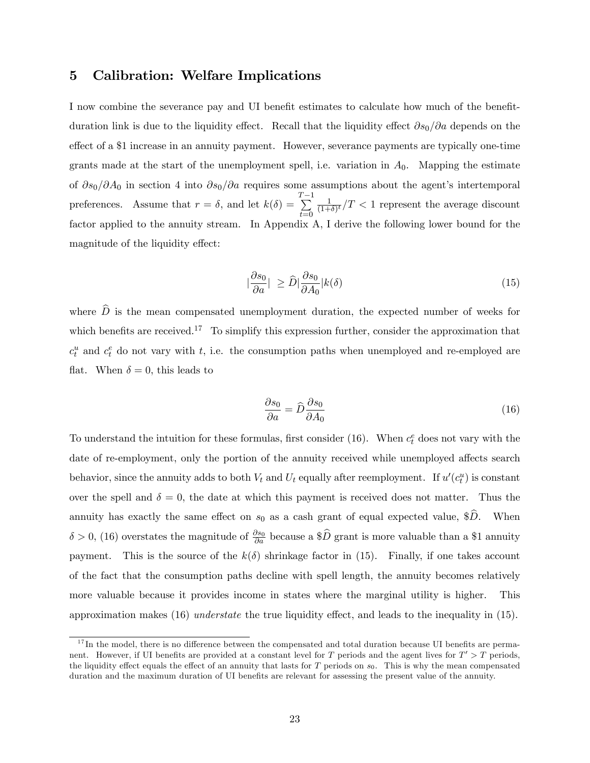# 5 Calibration: Welfare Implications

I now combine the severance pay and UI benefit estimates to calculate how much of the benefitduration link is due to the liquidity effect. Recall that the liquidity effect  $\partial s_0/\partial a$  depends on the effect of a \$1 increase in an annuity payment. However, severance payments are typically one-time grants made at the start of the unemployment spell, i.e. variation in  $A_0$ . Mapping the estimate of  $\partial s_0/\partial A_0$  in section 4 into  $\partial s_0/\partial a$  requires some assumptions about the agent's intertemporal preferences. Assume that  $r = \delta$ , and let  $k(\delta) =$  $\sum_{i=1}^{T-1}$  $t=0$ 1  $\frac{1}{(1+\delta)^t}/T < 1$  represent the average discount factor applied to the annuity stream. In Appendix A, I derive the following lower bound for the magnitude of the liquidity effect:

$$
\left|\frac{\partial s_0}{\partial a}\right| \ge \widehat{D} \left|\frac{\partial s_0}{\partial A_0}\right| k(\delta) \tag{15}
$$

where  $\hat{D}$  is the mean compensated unemployment duration, the expected number of weeks for which benefits are received.<sup>17</sup> To simplify this expression further, consider the approximation that  $c_t^u$  and  $c_t^e$  do not vary with t, i.e. the consumption paths when unemployed and re-employed are flat. When  $\delta = 0$ , this leads to

$$
\frac{\partial s_0}{\partial a} = \hat{D} \frac{\partial s_0}{\partial A_0} \tag{16}
$$

To understand the intuition for these formulas, first consider (16). When  $c_t^e$  does not vary with the date of re-employment, only the portion of the annuity received while unemployed affects search behavior, since the annuity adds to both  $V_t$  and  $U_t$  equally after reemployment. If  $u'(c_t^u)$  is constant over the spell and  $\delta = 0$ , the date at which this payment is received does not matter. Thus the annuity has exactly the same effect on  $s_0$  as a cash grant of equal expected value, \$ $\hat{D}$ . When  $\delta > 0$ , (16) overstates the magnitude of  $\frac{\partial s_0}{\partial a}$  because a \$ $\widehat{D}$  grant is more valuable than a \$1 annuity payment. This is the source of the  $k(\delta)$  shrinkage factor in (15). Finally, if one takes account of the fact that the consumption paths decline with spell length, the annuity becomes relatively more valuable because it provides income in states where the marginal utility is higher. This approximation makes  $(16)$  *understate* the true liquidity effect, and leads to the inequality in  $(15)$ .

 $17$ In the model, there is no difference between the compensated and total duration because UI benefits are permanent. However, if UI benefits are provided at a constant level for T periods and the agent lives for  $T' > T$  periods, the liquidity effect equals the effect of an annuity that lasts for  $T$  periods on  $s_0$ . This is why the mean compensated duration and the maximum duration of UI benefits are relevant for assessing the present value of the annuity.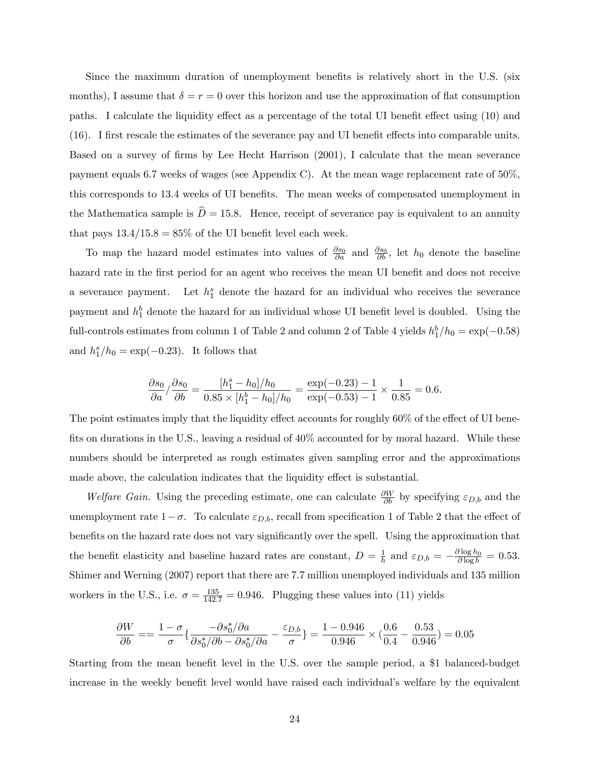Since the maximum duration of unemployment benefits is relatively short in the U.S. (six months), I assume that  $\delta = r = 0$  over this horizon and use the approximation of flat consumption paths. I calculate the liquidity effect as a percentage of the total UI benefit effect using (10) and  $(16)$ . I first rescale the estimates of the severance pay and UI benefit effects into comparable units. Based on a survey of firms by Lee Hecht Harrison (2001), I calculate that the mean severance payment equals 6.7 weeks of wages (see Appendix C). At the mean wage replacement rate of 50%, this corresponds to 13.4 weeks of UI benefits. The mean weeks of compensated unemployment in the Mathematica sample is  $\hat{D} = 15.8$ . Hence, receipt of severance pay is equivalent to an annuity that pays  $13.4/15.8 = 85\%$  of the UI benefit level each week.

To map the hazard model estimates into values of  $\frac{\partial s_0}{\partial a}$  and  $\frac{\partial s_0}{\partial b}$ , let  $h_0$  denote the baseline hazard rate in the first period for an agent who receives the mean UI benefit and does not receive a severance payment. Let  $h_1^s$  denote the hazard for an individual who receives the severance payment and  $h_1^b$  denote the hazard for an individual whose UI benefit level is doubled. Using the full-controls estimates from column 1 of Table 2 and column 2 of Table 4 yields  $h_1^b/h_0 = \exp(-0.58)$ and  $h_1^s/h_0 = \exp(-0.23)$ . It follows that

$$
\frac{\partial s_0}{\partial a} / \frac{\partial s_0}{\partial b} = \frac{[h_1^s - h_0] / h_0}{0.85 \times [h_1^b - h_0] / h_0} = \frac{\exp(-0.23) - 1}{\exp(-0.53) - 1} \times \frac{1}{0.85} = 0.6.
$$

The point estimates imply that the liquidity effect accounts for roughly  $60\%$  of the effect of UI benefits on durations in the U.S., leaving a residual of  $40\%$  accounted for by moral hazard. While these numbers should be interpreted as rough estimates given sampling error and the approximations made above, the calculation indicates that the liquidity effect is substantial.

Welfare Gain. Using the preceding estimate, one can calculate  $\frac{\partial W}{\partial b}$  by specifying  $\varepsilon_{D,b}$  and the unemployment rate  $1-\sigma$ . To calculate  $\varepsilon_{D,b}$ , recall from specification 1 of Table 2 that the effect of benefits on the hazard rate does not vary significantly over the spell. Using the approximation that the benefit elasticity and baseline hazard rates are constant,  $D = \frac{1}{b}$  $\frac{1}{h}$  and  $\varepsilon_{D,b} = -\frac{\partial \log h_0}{\partial \log b} = 0.53.$ Shimer and Werning (2007) report that there are 7.7 million unemployed individuals and 135 million workers in the U.S., i.e.  $\sigma = \frac{135}{142.7} = 0.946$ . Plugging these values into (11) yields

$$
\frac{\partial W}{\partial b} = \frac{1 - \sigma}{\sigma} \left\{ \frac{-\partial s_0^* / \partial a}{\partial s_0^* / \partial b - \partial s_0^* / \partial a} - \frac{\varepsilon_{D,b}}{\sigma} \right\} = \frac{1 - 0.946}{0.946} \times \left( \frac{0.6}{0.4} - \frac{0.53}{0.946} \right) = 0.05
$$

Starting from the mean benefit level in the U.S. over the sample period, a \$1 balanced-budget increase in the weekly benefit level would have raised each individual's welfare by the equivalent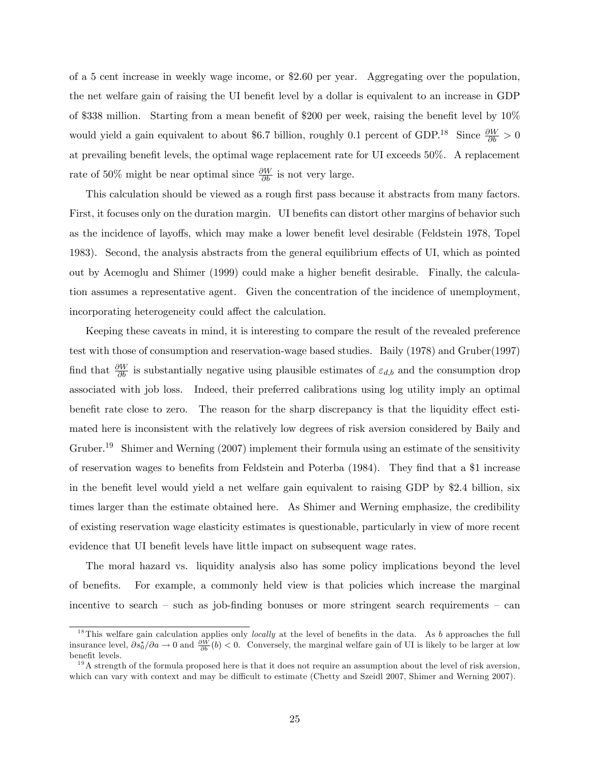of a 5 cent increase in weekly wage income, or \$2.60 per year. Aggregating over the population, the net welfare gain of raising the UI benefit level by a dollar is equivalent to an increase in GDP of \$338 million. Starting from a mean benefit of \$200 per week, raising the benefit level by  $10\%$ would yield a gain equivalent to about \$6.7 billion, roughly 0.1 percent of GDP.<sup>18</sup> Since  $\frac{\partial W}{\partial b} > 0$ at prevailing benefit levels, the optimal wage replacement rate for UI exceeds 50%. A replacement rate of 50% might be near optimal since  $\frac{\partial W}{\partial b}$  is not very large.

This calculation should be viewed as a rough first pass because it abstracts from many factors. First, it focuses only on the duration margin. UI benefits can distort other margins of behavior such as the incidence of layoffs, which may make a lower benefit level desirable (Feldstein 1978, Topel 1983). Second, the analysis abstracts from the general equilibrium effects of UI, which as pointed out by Acemoglu and Shimer (1999) could make a higher benefit desirable. Finally, the calculation assumes a representative agent. Given the concentration of the incidence of unemployment, incorporating heterogeneity could affect the calculation.

Keeping these caveats in mind, it is interesting to compare the result of the revealed preference test with those of consumption and reservation-wage based studies. Baily (1978) and Gruber(1997) find that  $\frac{\partial W}{\partial b}$  is substantially negative using plausible estimates of  $\varepsilon_{d,b}$  and the consumption drop associated with job loss. Indeed, their preferred calibrations using log utility imply an optimal benefit rate close to zero. The reason for the sharp discrepancy is that the liquidity effect estimated here is inconsistent with the relatively low degrees of risk aversion considered by Baily and Gruber.<sup>19</sup> Shimer and Werning (2007) implement their formula using an estimate of the sensitivity of reservation wages to benefits from Feldstein and Poterba (1984). They find that a \$1 increase in the benefit level would yield a net welfare gain equivalent to raising GDP by \$2.4 billion, six times larger than the estimate obtained here. As Shimer and Werning emphasize, the credibility of existing reservation wage elasticity estimates is questionable, particularly in view of more recent evidence that UI benefit levels have little impact on subsequent wage rates.

The moral hazard vs. liquidity analysis also has some policy implications beyond the level of benefits. For example, a commonly held view is that policies which increase the marginal incentive to search  $\sim$  such as job-finding bonuses or more stringent search requirements  $\sim$  can

<sup>&</sup>lt;sup>18</sup>This welfare gain calculation applies only *locally* at the level of benefits in the data. As b approaches the full insurance level,  $\partial s_0^*/\partial a \to 0$  and  $\frac{\partial W}{\partial b}(b) < 0$ . Conversely, the marginal welfare gain of UI is likely to be larger at low benefit levels.

 $19A$  strength of the formula proposed here is that it does not require an assumption about the level of risk aversion, which can vary with context and may be difficult to estimate (Chetty and Szeidl 2007, Shimer and Werning 2007).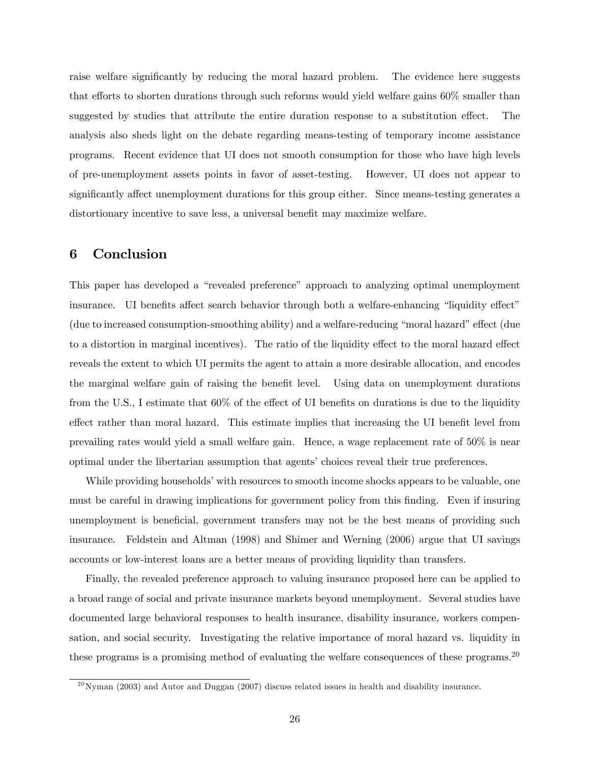raise welfare significantly by reducing the moral hazard problem. The evidence here suggests that efforts to shorten durations through such reforms would yield welfare gains  $60\%$  smaller than suggested by studies that attribute the entire duration response to a substitution effect. The analysis also sheds light on the debate regarding means-testing of temporary income assistance programs. Recent evidence that UI does not smooth consumption for those who have high levels of pre-unemployment assets points in favor of asset-testing. However, UI does not appear to significantly affect unemployment durations for this group either. Since means-testing generates a distortionary incentive to save less, a universal benefit may maximize welfare.

# 6 Conclusion

This paper has developed a "revealed preference" approach to analyzing optimal unemployment insurance. UI benefits affect search behavior through both a welfare-enhancing "liquidity effect"  $(\text{due to increased consumption-smoothing ability})$  and a welfare-reducing "moral hazard" effect  $(\text{due to the time time})$ to a distortion in marginal incentives). The ratio of the liquidity effect to the moral hazard effect reveals the extent to which UI permits the agent to attain a more desirable allocation, and encodes the marginal welfare gain of raising the benefit level. Using data on unemployment durations from the U.S., I estimate that  $60\%$  of the effect of UI benefits on durations is due to the liquidity effect rather than moral hazard. This estimate implies that increasing the UI benefit level from prevailing rates would yield a small welfare gain. Hence, a wage replacement rate of 50% is near optimal under the libertarian assumption that agents' choices reveal their true preferences.

While providing households' with resources to smooth income shocks appears to be valuable, one must be careful in drawing implications for government policy from this finding. Even if insuring unemployment is beneficial, government transfers may not be the best means of providing such insurance. Feldstein and Altman (1998) and Shimer and Werning (2006) argue that UI savings accounts or low-interest loans are a better means of providing liquidity than transfers.

Finally, the revealed preference approach to valuing insurance proposed here can be applied to a broad range of social and private insurance markets beyond unemployment. Several studies have documented large behavioral responses to health insurance, disability insurance, workers compensation, and social security. Investigating the relative importance of moral hazard vs. liquidity in these programs is a promising method of evaluating the welfare consequences of these programs.<sup>20</sup>

 $^{20}$ Nyman (2003) and Autor and Duggan (2007) discuss related issues in health and disability insurance.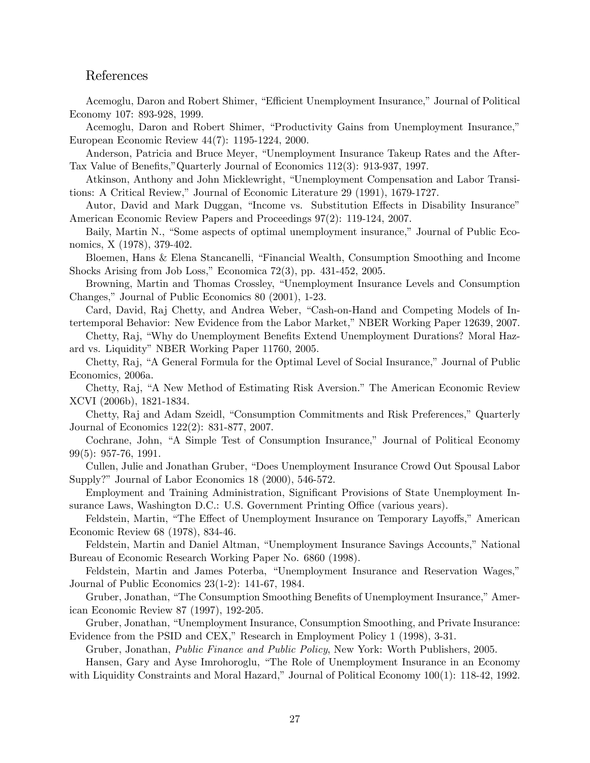## References

Acemoglu, Daron and Robert Shimer, "Efficient Unemployment Insurance," Journal of Political Economy 107: 893-928, 1999.

Acemoglu, Daron and Robert Shimer, "Productivity Gains from Unemployment Insurance," European Economic Review 44(7): 1195-1224, 2000.

Anderson, Patricia and Bruce Meyer, "Unemployment Insurance Takeup Rates and the After-Tax Value of Benefits,"Quarterly Journal of Economics 112(3): 913-937, 1997.

Atkinson, Anthony and John Micklewright, "Unemployment Compensation and Labor Transitions: A Critical Review," Journal of Economic Literature 29 (1991), 1679-1727.

Autor, David and Mark Duggan, "Income vs. Substitution Effects in Disability Insurance" American Economic Review Papers and Proceedings 97(2): 119-124, 2007.

Baily, Martin N., "Some aspects of optimal unemployment insurance," Journal of Public Economics, X (1978), 379-402.

Bloemen, Hans & Elena Stancanelli, "Financial Wealth, Consumption Smoothing and Income Shocks Arising from Job Loss," Economica 72(3), pp.  $431-452$ , 2005.

Browning, Martin and Thomas Crossley, "Unemployment Insurance Levels and Consumption Changes," Journal of Public Economics 80 (2001), 1-23.

Card, David, Raj Chetty, and Andrea Weber, "Cash-on-Hand and Competing Models of Intertemporal Behavior: New Evidence from the Labor Market," NBER Working Paper 12639, 2007.

Chetty, Raj, "Why do Unemployment Benefits Extend Unemployment Durations? Moral Hazard vs. Liquidity" NBER Working Paper 11760, 2005.

Chetty, Raj, "A General Formula for the Optimal Level of Social Insurance," Journal of Public Economics, 2006a.

Chetty, Raj, "A New Method of Estimating Risk Aversion." The American Economic Review XCVI (2006b), 1821-1834.

Chetty, Raj and Adam Szeidl, "Consumption Commitments and Risk Preferences," Quarterly Journal of Economics 122(2): 831-877, 2007.

Cochrane, John, "A Simple Test of Consumption Insurance," Journal of Political Economy 99(5): 957-76, 1991.

Cullen, Julie and Jonathan Gruber, "Does Unemployment Insurance Crowd Out Spousal Labor Supply?" Journal of Labor Economics 18 (2000), 546-572.

Employment and Training Administration, Significant Provisions of State Unemployment Insurance Laws, Washington D.C.: U.S. Government Printing Office (various years).

Feldstein, Martin, "The Effect of Unemployment Insurance on Temporary Layoffs," American Economic Review 68 (1978), 834-46.

Feldstein, Martin and Daniel Altman, "Unemployment Insurance Savings Accounts," National Bureau of Economic Research Working Paper No. 6860 (1998).

Feldstein, Martin and James Poterba, "Unemployment Insurance and Reservation Wages," Journal of Public Economics 23(1-2): 141-67, 1984.

Gruber, Jonathan, "The Consumption Smoothing Benefits of Unemployment Insurance," American Economic Review 87 (1997), 192-205.

Gruber, Jonathan, "Unemployment Insurance, Consumption Smoothing, and Private Insurance: Evidence from the PSID and CEX," Research in Employment Policy 1 (1998), 3-31.

Gruber, Jonathan, Public Finance and Public Policy, New York: Worth Publishers, 2005.

Hansen, Gary and Ayse Imrohoroglu, "The Role of Unemployment Insurance in an Economy with Liquidity Constraints and Moral Hazard," Journal of Political Economy  $100(1)$ : 118-42, 1992.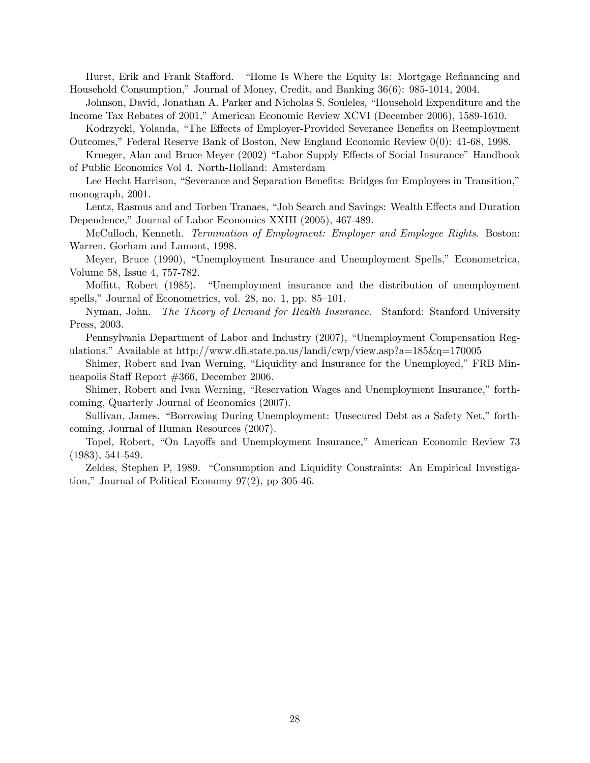Hurst, Erik and Frank Stafford. "Home Is Where the Equity Is: Mortgage Refinancing and Household Consumption,î Journal of Money, Credit, and Banking 36(6): 985-1014, 2004.

Johnson, David, Jonathan A. Parker and Nicholas S. Souleles, "Household Expenditure and the Income Tax Rebates of 2001," American Economic Review XCVI (December 2006), 1589-1610.

Kodrzycki, Yolanda, "The Effects of Employer-Provided Severance Benefits on Reemployment Outcomes," Federal Reserve Bank of Boston, New England Economic Review  $0(0)$ : 41-68, 1998.

Krueger, Alan and Bruce Meyer (2002) "Labor Supply Effects of Social Insurance" Handbook of Public Economics Vol 4. North-Holland: Amsterdam

Lee Hecht Harrison, "Severance and Separation Benefits: Bridges for Employees in Transition," monograph, 2001.

Lentz, Rasmus and and Torben Tranaes, "Job Search and Savings: Wealth Effects and Duration Dependence," Journal of Labor Economics XXIII (2005), 467-489.

McCulloch, Kenneth. Termination of Employment: Employer and Employee Rights. Boston: Warren, Gorham and Lamont, 1998.

Meyer, Bruce (1990), "Unemployment Insurance and Unemployment Spells," Econometrica, Volume 58, Issue 4, 757-782.

Moffitt, Robert (1985). "Unemployment insurance and the distribution of unemployment spells," Journal of Econometrics, vol.  $28$ , no. 1, pp.  $85-101$ .

Nyman, John. The Theory of Demand for Health Insurance. Stanford: Stanford University Press, 2003.

Pennsylvania Department of Labor and Industry (2007), "Unemployment Compensation Regulations." Available at http://www.dli.state.pa.us/landi/cwp/view.asp?a=185 $\&q=170005$ 

Shimer, Robert and Ivan Werning, "Liquidity and Insurance for the Unemployed," FRB Minneapolis Staff Report #366, December 2006.

Shimer, Robert and Ivan Werning, "Reservation Wages and Unemployment Insurance," forthcoming, Quarterly Journal of Economics (2007).

Sullivan, James. "Borrowing During Unemployment: Unsecured Debt as a Safety Net," forthcoming, Journal of Human Resources (2007).

Topel, Robert, "On Layoffs and Unemployment Insurance," American Economic Review 73 (1983), 541-549.

Zeldes, Stephen P, 1989. "Consumption and Liquidity Constraints: An Empirical Investigation," Journal of Political Economy  $97(2)$ , pp 305-46.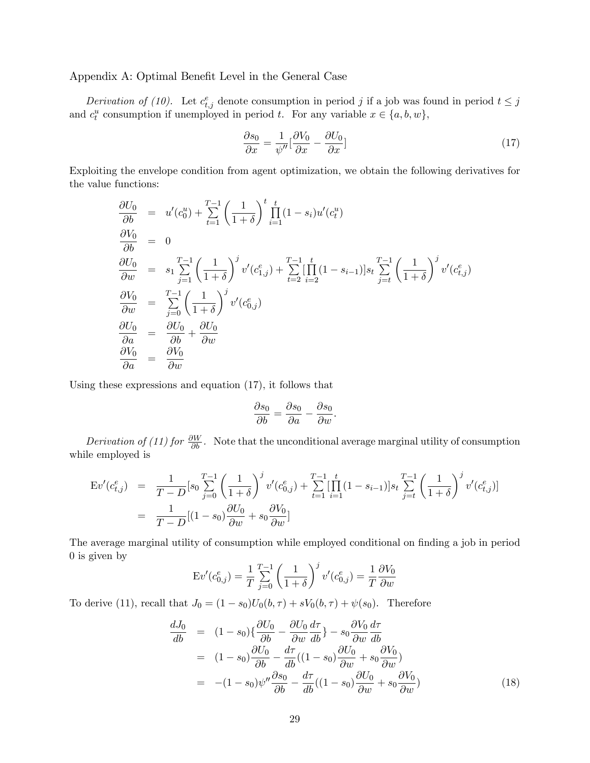### Appendix A: Optimal Benefit Level in the General Case

Derivation of (10). Let  $c_{t,j}^e$  denote consumption in period j if a job was found in period  $t \leq j$ and  $c_t^u$  consumption if unemployed in period t. For any variable  $x \in \{a, b, w\}$ ,

$$
\frac{\partial s_0}{\partial x} = \frac{1}{\psi''} [\frac{\partial V_0}{\partial x} - \frac{\partial U_0}{\partial x}]
$$
\n(17)

Exploiting the envelope condition from agent optimization, we obtain the following derivatives for the value functions:

$$
\frac{\partial U_0}{\partial b} = u'(c_0^u) + \sum_{t=1}^{T-1} \left(\frac{1}{1+\delta}\right)^t \prod_{i=1}^t (1-s_i) u'(c_t^u)
$$
\n
$$
\frac{\partial V_0}{\partial b} = 0
$$
\n
$$
\frac{\partial U_0}{\partial w} = s_1 \sum_{j=1}^{T-1} \left(\frac{1}{1+\delta}\right)^j v'(c_{1,j}^e) + \sum_{t=2}^{T-1} \left[\prod_{i=2}^t (1-s_{i-1})\right] s_t \sum_{j=t}^{T-1} \left(\frac{1}{1+\delta}\right)^j v'(c_{t,j}^e)
$$
\n
$$
\frac{\partial V_0}{\partial w} = \sum_{j=0}^{T-1} \left(\frac{1}{1+\delta}\right)^j v'(c_{0,j}^e)
$$
\n
$$
\frac{\partial U_0}{\partial a} = \frac{\partial U_0}{\partial b} + \frac{\partial U_0}{\partial w}
$$
\n
$$
\frac{\partial V_0}{\partial a} = \frac{\partial V_0}{\partial w}
$$

Using these expressions and equation (17), it follows that

$$
\frac{\partial s_0}{\partial b} = \frac{\partial s_0}{\partial a} - \frac{\partial s_0}{\partial w}.
$$

Derivation of (11) for  $\frac{\partial W}{\partial b}$ . Note that the unconditional average marginal utility of consumption while employed is

$$
\begin{split} \mathcal{E}v'(c_{t,j}^{e}) &= \frac{1}{T-D} \big[ s_0 \sum_{j=0}^{T-1} \left( \frac{1}{1+\delta} \right)^j v'(c_{0,j}^{e}) + \sum_{t=1}^{T-1} \big[ \prod_{i=1}^{t} (1-s_{i-1}) \big] s_t \sum_{j=t}^{T-1} \left( \frac{1}{1+\delta} \right)^j v'(c_{t,j}^{e}) \big] \\ &= \frac{1}{T-D} \big[ (1-s_0) \frac{\partial U_0}{\partial w} + s_0 \frac{\partial V_0}{\partial w} \big] \end{split}
$$

The average marginal utility of consumption while employed conditional on finding a job in period 0 is given by

$$
\mathrm{E}v'(c_{0,j}^e) = \frac{1}{T} \sum_{j=0}^{T-1} \left(\frac{1}{1+\delta}\right)^j v'(c_{0,j}^e) = \frac{1}{T} \frac{\partial V_0}{\partial w}
$$

To derive (11), recall that  $J_0 = (1 - s_0)U_0(b, \tau) + sV_0(b, \tau) + \psi(s_0)$ . Therefore

$$
\frac{dJ_0}{db} = (1 - s_0) \left\{ \frac{\partial U_0}{\partial b} - \frac{\partial U_0}{\partial w} \frac{d\tau}{db} \right\} - s_0 \frac{\partial V_0}{\partial w} \frac{d\tau}{db}
$$
\n
$$
= (1 - s_0) \frac{\partial U_0}{\partial b} - \frac{d\tau}{db} ((1 - s_0) \frac{\partial U_0}{\partial w} + s_0 \frac{\partial V_0}{\partial w})
$$
\n
$$
= -(1 - s_0) \psi'' \frac{\partial s_0}{\partial b} - \frac{d\tau}{db} ((1 - s_0) \frac{\partial U_0}{\partial w} + s_0 \frac{\partial V_0}{\partial w})
$$
\n(18)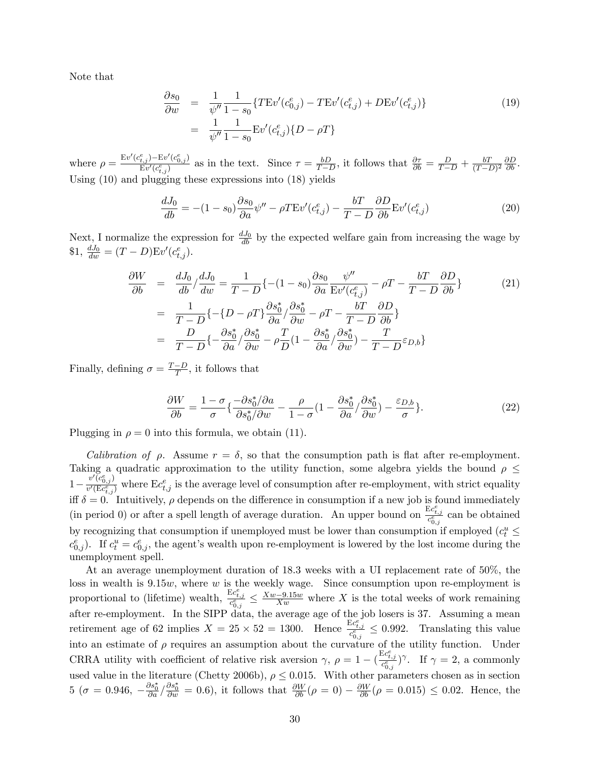Note that

$$
\frac{\partial s_0}{\partial w} = \frac{1}{\psi''} \frac{1}{1 - s_0} \{ TEv'(c_{0,j}^e) - TEv'(c_{t,j}^e) + DEv'(c_{t,j}^e) \}
$$
\n
$$
= \frac{1}{\psi''} \frac{1}{1 - s_0} Ev'(c_{t,j}^e) \{ D - \rho T \}
$$
\n(19)

where  $\rho = \frac{Ev'(c_{t,j}^e) - Ev'(c_{0,j}^e)}{Ev'(c_{t,j}^e)}$  $\frac{E_{\tilde{t},j}-Ev\cdot(c_{0,j}^*)}{Ev'(c_{t,j}^e)}$  as in the text. Since  $\tau = \frac{bD}{T-1}$  $\frac{bD}{T-D}$ , it follows that  $\frac{\partial \tau}{\partial b} = \frac{D}{T-D} + \frac{bT}{(T-I)}$  $\frac{bT}{(T-D)^2} \frac{\partial D}{\partial b}$ . Using (10) and plugging these expressions into (18) yields

$$
\frac{dJ_0}{db} = -(1 - s_0) \frac{\partial s_0}{\partial a} \psi'' - \rho T E v'(c_{t,j}^e) - \frac{bT}{T - D} \frac{\partial D}{\partial b} E v'(c_{t,j}^e)
$$
(20)

Next, I normalize the expression for  $\frac{dJ_0}{db}$  by the expected welfare gain from increasing the wage by \$1,  $\frac{dJ_0}{dw} = (T - D)Ev'(c_{t,j}^e)$ .

$$
\frac{\partial W}{\partial b} = \frac{dJ_0}{db} / \frac{dJ_0}{dw} = \frac{1}{T - D} \{ -(1 - s_0) \frac{\partial s_0}{\partial a} \frac{\psi''}{E v'(c_{t,j}^e)} - \rho T - \frac{bT}{T - D} \frac{\partial D}{\partial b} \} \n= \frac{1}{T - D} \{ -(D - \rho T) \frac{\partial s_0^*}{\partial a} / \frac{\partial s_0^*}{\partial w} - \rho T - \frac{bT}{T - D} \frac{\partial D}{\partial b} \} \n= \frac{D}{T - D} \{ -\frac{\partial s_0^*}{\partial a} / \frac{\partial s_0^*}{\partial w} - \rho \frac{T}{D} (1 - \frac{\partial s_0^*}{\partial a} / \frac{\partial s_0^*}{\partial w}) - \frac{T}{T - D} \varepsilon_{D,b} \}
$$
\n(21)

Finally, defining  $\sigma = \frac{T-D}{T}$ , it follows that

$$
\frac{\partial W}{\partial b} = \frac{1 - \sigma}{\sigma} \left\{ \frac{-\partial s_0^* / \partial a}{\partial s_0^* / \partial w} - \frac{\rho}{1 - \sigma} \left( 1 - \frac{\partial s_0^*}{\partial a} / \frac{\partial s_0^*}{\partial w} \right) - \frac{\varepsilon_{D,b}}{\sigma} \right\}.
$$
(22)

Plugging in  $\rho = 0$  into this formula, we obtain (11).

Calibration of  $\rho$ . Assume  $r = \delta$ , so that the consumption path is flat after re-employment. Taking a quadratic approximation to the utility function, some algebra yields the bound  $\rho \leq$  $1 - \frac{v'(\overline{c}_{0,j}^e)}{v'(\overline{\mathrm{E}} c_{t,j}^e)}$  $\frac{v(c_{0,j})}{v'(Ec_{t,j}^e)}$  where  $Ec_{t,j}^e$  is the average level of consumption after re-employment, with strict equality iff  $\delta = 0$ . Intuitively,  $\rho$  depends on the difference in consumption if a new job is found immediately (in period 0) or after a spell length of average duration. An upper bound on  $\frac{Ec_{t,j}^e}{c_{0,j}^e}$  can be obtained by recognizing that consumption if unemployed must be lower than consumption if employed  $(c_t^u \leq$  $c_{0,j}^e$ ). If  $c_t^u = c_{0,j}^e$ , the agent's wealth upon re-employment is lowered by the lost income during the unemployment spell.

At an average unemployment duration of 18.3 weeks with a UI replacement rate of 50%, the loss in wealth is  $9.15w$ , where w is the weekly wage. Since consumption upon re-employment is proportional to (lifetime) wealth,  $\frac{Ec_{t,j}^e}{c_{0,j}^e} \leq \frac{X_w - 9.15w}{Xw}$  where X is the total weeks of work remaining after re-employment. In the SIPP data, the average age of the job losers is 37. Assuming a mean retirement age of 62 implies  $X = 25 \times 52 = 1300$ . Hence  $\frac{E c_{t,j}^{e}}{c_{0,j}^{e}} \le 0.992$ . Translating this value into an estimate of  $\rho$  requires an assumption about the curvature of the utility function. Under CRRA utility with coefficient of relative risk aversion  $\gamma$ ,  $\rho = 1 - (\frac{E c_{t,j}^e}{c_{0,j}^e})^{\gamma}$ . If  $\gamma = 2$ , a commonly used value in the literature (Chetty 2006b),  $\rho \leq 0.015$ . With other parameters chosen as in section  $5\ (\sigma = 0.946, \ -\frac{\partial s_0^*}{\partial a} / \frac{\partial s_0^*}{\partial w} = 0.6),$  it follows that  $\frac{\partial W}{\partial b}(\rho = 0) - \frac{\partial W}{\partial b}(\rho = 0.015) \le 0.02$ . Hence, the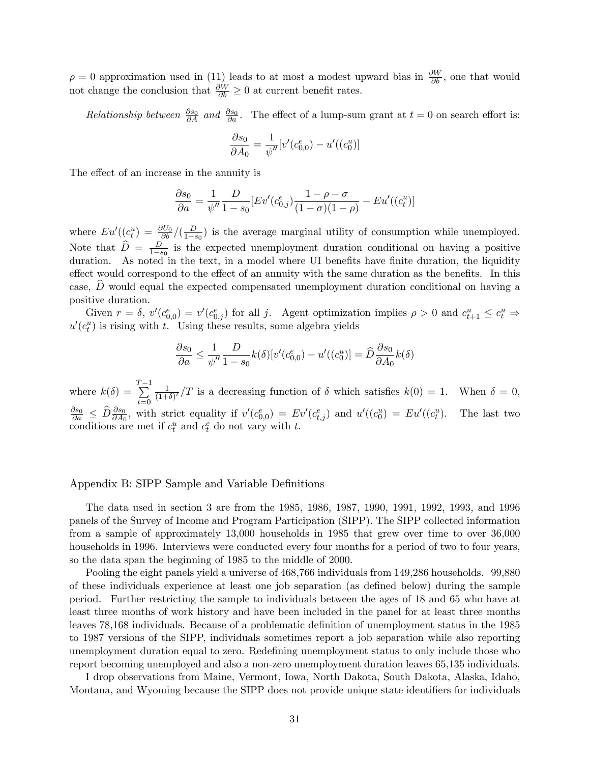$\rho = 0$  approximation used in (11) leads to at most a modest upward bias in  $\frac{\partial W}{\partial b}$ , one that would not change the conclusion that  $\frac{\partial W}{\partial b} \ge 0$  at current benefit rates.

Relationship between  $\frac{\partial s_0}{\partial A}$  and  $\frac{\partial s_0}{\partial a}$ . The effect of a lump-sum grant at  $t = 0$  on search effort is:

$$
\frac{\partial s_0}{\partial A_0} = \frac{1}{\psi''} [v'(c_{0,0}^e) - u'((c_0^u)]
$$

The effect of an increase in the annuity is

$$
\frac{\partial s_0}{\partial a} = \frac{1}{\psi''} \frac{D}{1 - s_0} \left[ E v' (c_{0,j}^e) \frac{1 - \rho - \sigma}{(1 - \sigma)(1 - \rho)} - E u' ((c_t^u) \right]
$$

where  $Eu'((c_t^u) = \frac{\partial U_0}{\partial b}/(\frac{D}{1-t})$  $\frac{D}{1-s_0}$  is the average marginal utility of consumption while unemployed. Note that  $\widehat{D} = \frac{D}{1-s}$  $\frac{D}{1-s_0}$  is the expected unemployment duration conditional on having a positive duration. As noted in the text, in a model where UI benefits have finite duration, the liquidity effect would correspond to the effect of an annuity with the same duration as the benefits. In this case,  $D$  would equal the expected compensated unemployment duration conditional on having a positive duration.

Given  $r = \delta$ ,  $v'(c_{0,0}^e) = v'(c_{0,j}^e)$  for all j. Agent optimization implies  $\rho > 0$  and  $c_{t+1}^u \leq c_t^u \Rightarrow$  $u'(c_t^u)$  is rising with t. Using these results, some algebra yields

$$
\frac{\partial s_0}{\partial a} \le \frac{1}{\psi''} \frac{D}{1 - s_0} k(\delta) [v'(c_{0,0}^e) - u'((c_0^u)] = \widehat{D} \frac{\partial s_0}{\partial A_0} k(\delta)
$$

where  $k(\delta) =$  $\sum^{T-1}$  $t=0$ 1  $\frac{1}{(1+\delta)^t}/T$  is a decreasing function of  $\delta$  which satisfies  $k(0) = 1$ . When  $\delta = 0$ ,  $\frac{\partial s_0}{\partial a} \leq \widehat{D} \frac{\partial s_0}{\partial A_0}$ , with strict equality if  $v'(c_{0,0}^e) = Ev'(c_{t,j}^e)$  and  $u'((c_0^u) = Eu'((c_t^u))$ . The last two conditions are met if  $c_t^u$  and  $c_t^e$  do not vary with t.

### Appendix B: SIPP Sample and Variable Definitions

The data used in section 3 are from the 1985, 1986, 1987, 1990, 1991, 1992, 1993, and 1996 panels of the Survey of Income and Program Participation (SIPP). The SIPP collected information from a sample of approximately 13,000 households in 1985 that grew over time to over 36,000 households in 1996. Interviews were conducted every four months for a period of two to four years, so the data span the beginning of 1985 to the middle of 2000.

Pooling the eight panels yield a universe of 468,766 individuals from 149,286 households. 99,880 of these individuals experience at least one job separation (as defined below) during the sample period. Further restricting the sample to individuals between the ages of 18 and 65 who have at least three months of work history and have been included in the panel for at least three months leaves 78,168 individuals. Because of a problematic definition of unemployment status in the 1985 to 1987 versions of the SIPP, individuals sometimes report a job separation while also reporting unemployment duration equal to zero. Redefining unemployment status to only include those who report becoming unemployed and also a non-zero unemployment duration leaves 65,135 individuals.

I drop observations from Maine, Vermont, Iowa, North Dakota, South Dakota, Alaska, Idaho, Montana, and Wyoming because the SIPP does not provide unique state identifiers for individuals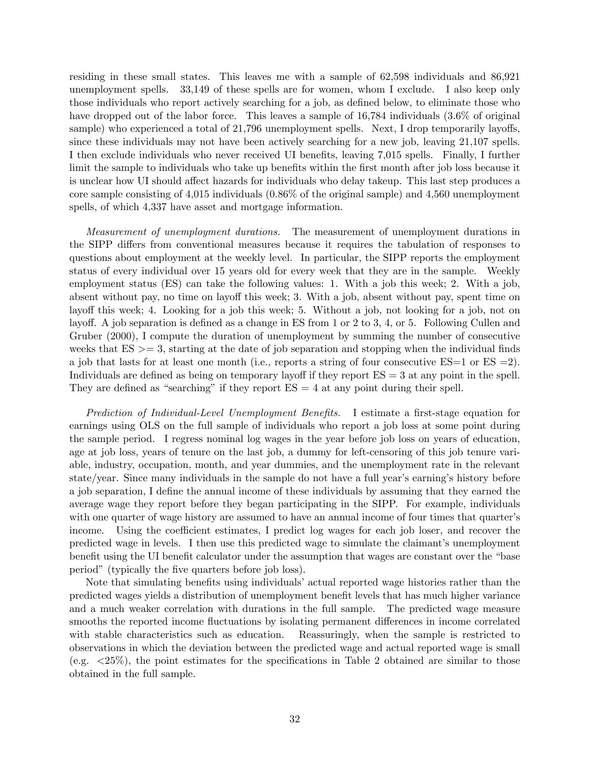residing in these small states. This leaves me with a sample of 62,598 individuals and 86,921 unemployment spells. 33,149 of these spells are for women, whom I exclude. I also keep only those individuals who report actively searching for a job, as defined below, to eliminate those who have dropped out of the labor force. This leaves a sample of 16,784 individuals  $(3.6\%$  of original sample) who experienced a total of  $21,796$  unemployment spells. Next, I drop temporarily layoffs, since these individuals may not have been actively searching for a new job, leaving 21,107 spells. I then exclude individuals who never received UI benefits, leaving 7,015 spells. Finally, I further limit the sample to individuals who take up benefits within the first month after job loss because it is unclear how UI should affect hazards for individuals who delay takeup. This last step produces a core sample consisting of 4,015 individuals (0.86% of the original sample) and 4,560 unemployment spells, of which 4,337 have asset and mortgage information.

*Measurement of unemployment durations.* The measurement of unemployment durations in the SIPP differs from conventional measures because it requires the tabulation of responses to questions about employment at the weekly level. In particular, the SIPP reports the employment status of every individual over 15 years old for every week that they are in the sample. Weekly employment status (ES) can take the following values: 1. With a job this week; 2. With a job, absent without pay, no time on layoff this week; 3. With a job, absent without pay, spent time on layoff this week; 4. Looking for a job this week; 5. Without a job, not looking for a job, not on layoff. A job separation is defined as a change in ES from 1 or 2 to 3, 4, or 5. Following Cullen and Gruber (2000), I compute the duration of unemployment by summing the number of consecutive weeks that  $ES \geq 3$ , starting at the date of job separation and stopping when the individual finds a job that lasts for at least one month (i.e., reports a string of four consecutive  $ES=1$  or  $ES=2$ ). Individuals are defined as being on temporary layoff if they report  $ES = 3$  at any point in the spell. They are defined as "searching" if they report  $ES = 4$  at any point during their spell.

Prediction of Individual-Level Unemployment Benefits. I estimate a first-stage equation for earnings using OLS on the full sample of individuals who report a job loss at some point during the sample period. I regress nominal log wages in the year before job loss on years of education, age at job loss, years of tenure on the last job, a dummy for left-censoring of this job tenure variable, industry, occupation, month, and year dummies, and the unemployment rate in the relevant state/year. Since many individuals in the sample do not have a full year's earning's history before a job separation, I define the annual income of these individuals by assuming that they earned the average wage they report before they began participating in the SIPP. For example, individuals with one quarter of wage history are assumed to have an annual income of four times that quarter's income. Using the coefficient estimates, I predict log wages for each job loser, and recover the predicted wage in levels. I then use this predicted wage to simulate the claimant's unemployment benefit using the UI benefit calculator under the assumption that wages are constant over the "base period" (typically the five quarters before job loss).

Note that simulating benefits using individuals' actual reported wage histories rather than the predicted wages yields a distribution of unemployment benefit levels that has much higher variance and a much weaker correlation with durations in the full sample. The predicted wage measure smooths the reported income fluctuations by isolating permanent differences in income correlated with stable characteristics such as education. Reassuringly, when the sample is restricted to observations in which the deviation between the predicted wage and actual reported wage is small (e.g.  $\langle 25\% \rangle$ , the point estimates for the specifications in Table 2 obtained are similar to those obtained in the full sample.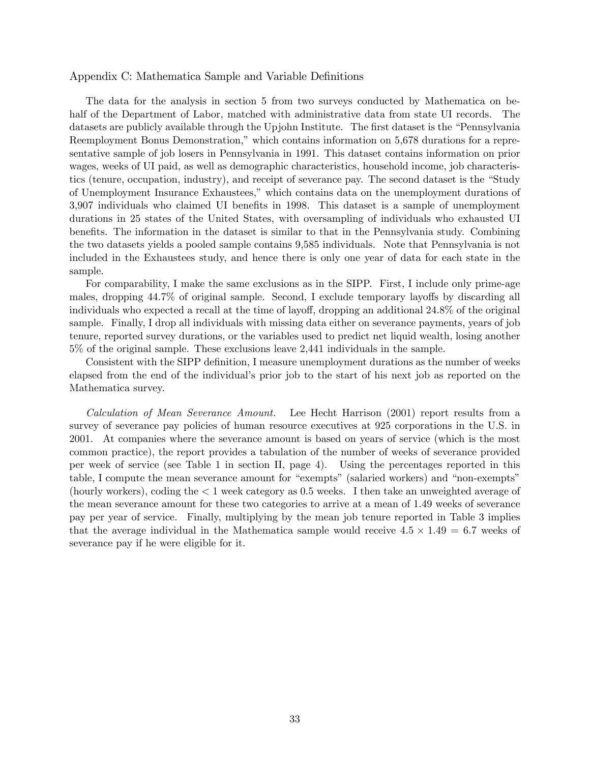### Appendix C: Mathematica Sample and Variable Definitions

The data for the analysis in section 5 from two surveys conducted by Mathematica on behalf of the Department of Labor, matched with administrative data from state UI records. The datasets are publicly available through the Upjohn Institute. The first dataset is the "Pennsylvania Reemployment Bonus Demonstration," which contains information on 5,678 durations for a representative sample of job losers in Pennsylvania in 1991. This dataset contains information on prior wages, weeks of UI paid, as well as demographic characteristics, household income, job characteristics (tenure, occupation, industry), and receipt of severance pay. The second dataset is the "Study" of Unemployment Insurance Exhaustees,î which contains data on the unemployment durations of 3,907 individuals who claimed UI benefits in 1998. This dataset is a sample of unemployment durations in 25 states of the United States, with oversampling of individuals who exhausted UI benefits. The information in the dataset is similar to that in the Pennsylvania study. Combining the two datasets yields a pooled sample contains 9,585 individuals. Note that Pennsylvania is not included in the Exhaustees study, and hence there is only one year of data for each state in the sample.

For comparability, I make the same exclusions as in the SIPP. First, I include only prime-age males, dropping 44.7% of original sample. Second, I exclude temporary layoffs by discarding all individuals who expected a recall at the time of layoff, dropping an additional 24.8% of the original sample. Finally, I drop all individuals with missing data either on severance payments, years of job tenure, reported survey durations, or the variables used to predict net liquid wealth, losing another 5% of the original sample. These exclusions leave 2,441 individuals in the sample.

Consistent with the SIPP definition, I measure unemployment durations as the number of weeks elapsed from the end of the individualís prior job to the start of his next job as reported on the Mathematica survey.

Calculation of Mean Severance Amount. Lee Hecht Harrison (2001) report results from a survey of severance pay policies of human resource executives at 925 corporations in the U.S. in 2001. At companies where the severance amount is based on years of service (which is the most common practice), the report provides a tabulation of the number of weeks of severance provided per week of service (see Table 1 in section II, page 4). Using the percentages reported in this table, I compute the mean severance amount for "exempts" (salaried workers) and "non-exempts" (hourly workers), coding the < 1 week category as 0.5 weeks. I then take an unweighted average of the mean severance amount for these two categories to arrive at a mean of 1.49 weeks of severance pay per year of service. Finally, multiplying by the mean job tenure reported in Table 3 implies that the average individual in the Mathematica sample would receive  $4.5 \times 1.49 = 6.7$  weeks of severance pay if he were eligible for it.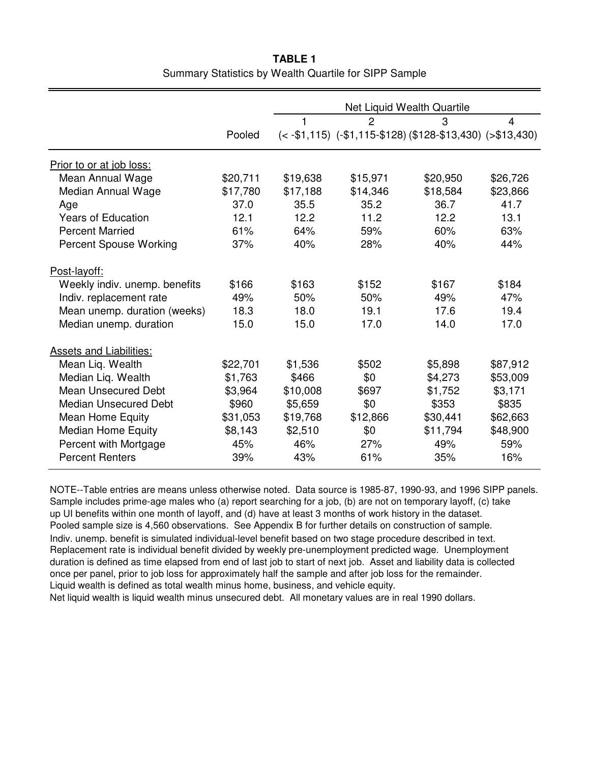|          | Net Liquid Wealth Quartile |                |          |                                                                      |
|----------|----------------------------|----------------|----------|----------------------------------------------------------------------|
|          | 1                          | $\overline{2}$ | 3        | $\overline{4}$                                                       |
| Pooled   |                            |                |          |                                                                      |
|          |                            |                |          |                                                                      |
| \$20,711 | \$19,638                   | \$15,971       | \$20,950 | \$26,726                                                             |
| \$17,780 | \$17,188                   | \$14,346       | \$18,584 | \$23,866                                                             |
| 37.0     | 35.5                       | 35.2           | 36.7     | 41.7                                                                 |
| 12.1     | 12.2                       | 11.2           | 12.2     | 13.1                                                                 |
| 61%      | 64%                        | 59%            | 60%      | 63%                                                                  |
| 37%      | 40%                        | 28%            | 40%      | 44%                                                                  |
|          |                            |                |          |                                                                      |
| \$166    | \$163                      | \$152          | \$167    | \$184                                                                |
| 49%      | 50%                        | 50%            | 49%      | 47%                                                                  |
| 18.3     | 18.0                       | 19.1           | 17.6     | 19.4                                                                 |
| 15.0     | 15.0                       | 17.0           | 14.0     | 17.0                                                                 |
|          |                            |                |          |                                                                      |
| \$22,701 | \$1,536                    | \$502          | \$5,898  | \$87,912                                                             |
| \$1,763  | \$466                      | \$0            | \$4,273  | \$53,009                                                             |
| \$3,964  | \$10,008                   | \$697          | \$1,752  | \$3,171                                                              |
| \$960    | \$5,659                    | \$0            | \$353    | \$835                                                                |
| \$31,053 | \$19,768                   | \$12,866       | \$30,441 | \$62,663                                                             |
| \$8,143  | \$2,510                    | \$0            | \$11,794 | \$48,900                                                             |
| 45%      | 46%                        | 27%            | 49%      | 59%                                                                  |
| 39%      | 43%                        | 61%            | 35%      | 16%                                                                  |
|          |                            |                |          | $(< -151, 115)$ $(-151, 115 - 128)$ $(128 - 13, 430)$ $( > 13, 430)$ |

**TABLE 1** Summary Statistics by Wealth Quartile for SIPP Sample

NOTE--Table entries are means unless otherwise noted. Data source is 1985-87, 1990-93, and 1996 SIPP panels. Sample includes prime-age males who (a) report searching for a job, (b) are not on temporary layoff, (c) take up UI benefits within one month of layoff, and (d) have at least 3 months of work history in the dataset. Pooled sample size is 4,560 observations. See Appendix B for further details on construction of sample. Indiv. unemp. benefit is simulated individual-level benefit based on two stage procedure described in text. Replacement rate is individual benefit divided by weekly pre-unemployment predicted wage. Unemployment duration is defined as time elapsed from end of last job to start of next job. Asset and liability data is collected once per panel, prior to job loss for approximately half the sample and after job loss for the remainder. Liquid wealth is defined as total wealth minus home, business, and vehicle equity.

Net liquid wealth is liquid wealth minus unsecured debt. All monetary values are in real 1990 dollars.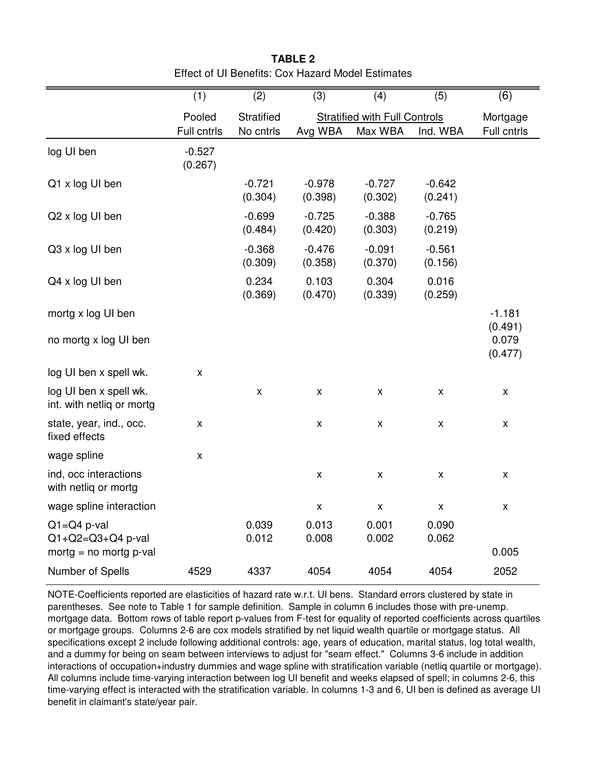|                                                     | (1)                   | (2)                     | (3)                 | (4)                                             | (5)                 | $\overline{(6)}$             |
|-----------------------------------------------------|-----------------------|-------------------------|---------------------|-------------------------------------------------|---------------------|------------------------------|
|                                                     | Pooled<br>Full cntrls | Stratified<br>No cntrls | Avg WBA             | <b>Stratified with Full Controls</b><br>Max WBA | Ind. WBA            | Mortgage<br>Full cntrls      |
| log UI ben                                          | $-0.527$<br>(0.267)   |                         |                     |                                                 |                     |                              |
| Q1 x log UI ben                                     |                       | $-0.721$<br>(0.304)     | $-0.978$<br>(0.398) | $-0.727$<br>(0.302)                             | $-0.642$<br>(0.241) |                              |
| Q2 x log UI ben                                     |                       | $-0.699$<br>(0.484)     | $-0.725$<br>(0.420) | $-0.388$<br>(0.303)                             | $-0.765$<br>(0.219) |                              |
| Q3 x log UI ben                                     |                       | $-0.368$<br>(0.309)     | $-0.476$<br>(0.358) | $-0.091$<br>(0.370)                             | $-0.561$<br>(0.156) |                              |
| Q4 x log UI ben                                     |                       | 0.234<br>(0.369)        | 0.103<br>(0.470)    | 0.304<br>(0.339)                                | 0.016<br>(0.259)    |                              |
| mortg x log UI ben<br>no mortg x log UI ben         |                       |                         |                     |                                                 |                     | $-1.181$<br>(0.491)<br>0.079 |
| log UI ben x spell wk.                              | $\pmb{\mathsf{X}}$    |                         |                     |                                                 |                     | (0.477)                      |
| log UI ben x spell wk.<br>int. with netliq or mortg |                       | $\pmb{\mathsf{X}}$      | $\pmb{\mathsf{X}}$  | $\pmb{\mathsf{X}}$                              | $\pmb{\mathsf{X}}$  | $\pmb{\mathsf{X}}$           |
| state, year, ind., occ.<br>fixed effects            | $\pmb{\mathsf{X}}$    |                         | $\pmb{\mathsf{X}}$  | $\pmb{\mathsf{X}}$                              | Χ                   | $\pmb{\mathsf{X}}$           |
| wage spline                                         | $\pmb{\mathsf{X}}$    |                         |                     |                                                 |                     |                              |
| ind, occ interactions<br>with netlig or mortg       |                       |                         | $\pmb{\mathsf{X}}$  | $\pmb{\mathsf{X}}$                              | $\pmb{\mathsf{X}}$  | x                            |
| wage spline interaction                             |                       |                         | $\pmb{\mathsf{X}}$  | $\pmb{\mathsf{X}}$                              | $\pmb{\mathsf{X}}$  | X                            |
| $Q1 = Q4$ p-val<br>$Q1 + Q2 = Q3 + Q4$ p-val        |                       | 0.039<br>0.012          | 0.013<br>0.008      | 0.001<br>0.002                                  | 0.090<br>0.062      |                              |
| mortg = $no$ mortg $p$ -val                         |                       |                         |                     |                                                 |                     | 0.005                        |
| Number of Spells                                    | 4529                  | 4337                    | 4054                | 4054                                            | 4054                | 2052                         |

**TABLE 2** Effect of UI Benefits: Cox Hazard Model Estimates

NOTE-Coefficients reported are elasticities of hazard rate w.r.t. UI bens. Standard errors clustered by state in parentheses. See note to Table 1 for sample definition. Sample in column 6 includes those with pre-unemp. mortgage data. Bottom rows of table report p-values from F-test for equality of reported coefficients across quartiles or mortgage groups. Columns 2-6 are cox models stratified by net liquid wealth quartile or mortgage status. All specifications except 2 include following additional controls: age, years of education, marital status, log total wealth, and a dummy for being on seam between interviews to adjust for "seam effect." Columns 3-6 include in addition interactions of occupation+industry dummies and wage spline with stratification variable (netliq quartile or mortgage). All columns include time-varying interaction between log UI benefit and weeks elapsed of spell; in columns 2-6, this time-varying effect is interacted with the stratification variable. In columns 1-3 and 6, UI ben is defined as average UI benefit in claimant's state/year pair.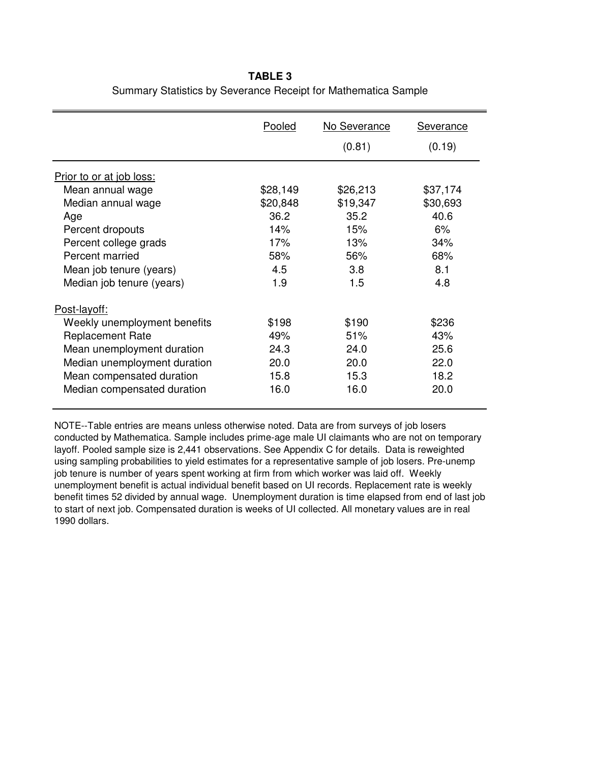# **TABLE 3** Summary Statistics by Severance Receipt for Mathematica Sample

|                              | Pooled   | No Severance | <b>Severance</b> |  |
|------------------------------|----------|--------------|------------------|--|
|                              |          | (0.81)       | (0.19)           |  |
| Prior to or at job loss:     |          |              |                  |  |
| Mean annual wage             | \$28,149 | \$26,213     | \$37,174         |  |
| Median annual wage           | \$20,848 | \$19,347     | \$30,693         |  |
| Age                          | 36.2     | 35.2         | 40.6             |  |
| Percent dropouts             | 14%      | 15%          | 6%               |  |
| Percent college grads        | 17%      | 13%          | 34%              |  |
| Percent married              | 58%      | 56%          | 68%              |  |
| Mean job tenure (years)      | 4.5      | 3.8          | 8.1              |  |
| Median job tenure (years)    | 1.9      | 1.5          | 4.8              |  |
| Post-layoff:                 |          |              |                  |  |
| Weekly unemployment benefits | \$198    | \$190        | \$236            |  |
| <b>Replacement Rate</b>      | 49%      | 51%          | 43%              |  |
| Mean unemployment duration   | 24.3     | 24.0         | 25.6             |  |
| Median unemployment duration | 20.0     | 20.0         | 22.0             |  |
| Mean compensated duration    | 15.8     | 15.3         | 18.2             |  |
| Median compensated duration  | 16.0     | 16.0         | 20.0             |  |

NOTE--Table entries are means unless otherwise noted. Data are from surveys of job losers conducted by Mathematica. Sample includes prime-age male UI claimants who are not on temporary layoff. Pooled sample size is 2,441 observations. See Appendix C for details. Data is reweighted using sampling probabilities to yield estimates for a representative sample of job losers. Pre-unemp job tenure is number of years spent working at firm from which worker was laid off. Weekly unemployment benefit is actual individual benefit based on UI records. Replacement rate is weekly benefit times 52 divided by annual wage. Unemployment duration is time elapsed from end of last job to start of next job. Compensated duration is weeks of UI collected. All monetary values are in real 1990 dollars.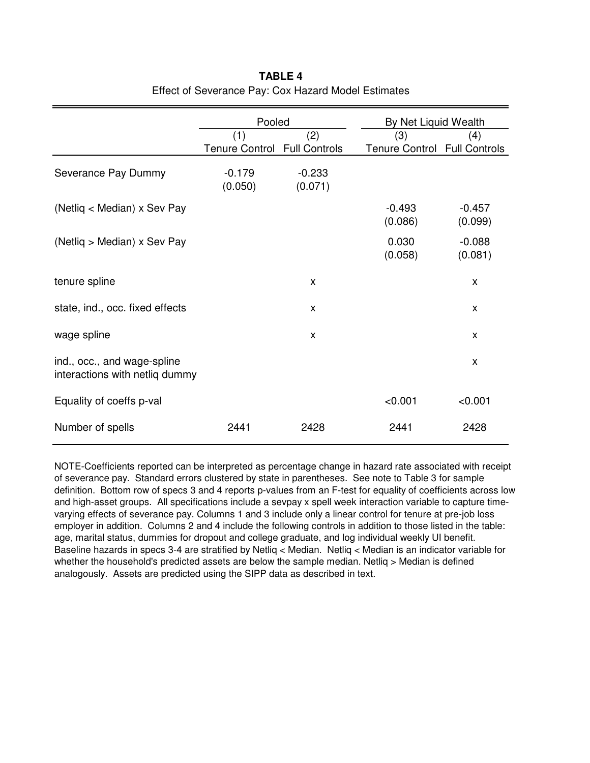|                                                               | Pooled                       |          | By Net Liquid Wealth         |          |  |
|---------------------------------------------------------------|------------------------------|----------|------------------------------|----------|--|
|                                                               | (1)                          | (2)      | (3)                          | (4)      |  |
|                                                               | Tenure Control Full Controls |          | Tenure Control Full Controls |          |  |
| Severance Pay Dummy                                           | $-0.179$                     | $-0.233$ |                              |          |  |
|                                                               | (0.050)                      | (0.071)  |                              |          |  |
| (Netliq < Median) x Sev Pay                                   |                              |          | $-0.493$                     | $-0.457$ |  |
|                                                               |                              |          | (0.086)                      | (0.099)  |  |
| (Netliq > Median) x Sev Pay                                   |                              |          | 0.030                        | $-0.088$ |  |
|                                                               |                              |          | (0.058)                      | (0.081)  |  |
| tenure spline                                                 |                              | X        |                              | X        |  |
| state, ind., occ. fixed effects                               |                              | X        |                              | X        |  |
| wage spline                                                   |                              | X        |                              | X        |  |
| ind., occ., and wage-spline<br>interactions with netliq dummy |                              |          |                              | X        |  |
| Equality of coeffs p-val                                      |                              |          | < 0.001                      | < 0.001  |  |
| Number of spells                                              | 2441                         | 2428     | 2441                         | 2428     |  |

# **TABLE 4** Effect of Severance Pay: Cox Hazard Model Estimates

NOTE-Coefficients reported can be interpreted as percentage change in hazard rate associated with receipt of severance pay. Standard errors clustered by state in parentheses. See note to Table 3 for sample definition. Bottom row of specs 3 and 4 reports p-values from an F-test for equality of coefficients across low and high-asset groups. All specifications include a sevpay x spell week interaction variable to capture timevarying effects of severance pay. Columns 1 and 3 include only a linear control for tenure at pre-job loss employer in addition. Columns 2 and 4 include the following controls in addition to those listed in the table: age, marital status, dummies for dropout and college graduate, and log individual weekly UI benefit. Baseline hazards in specs 3-4 are stratified by Netliq < Median. Netliq < Median is an indicator variable for whether the household's predicted assets are below the sample median. Netliq > Median is defined analogously. Assets are predicted using the SIPP data as described in text.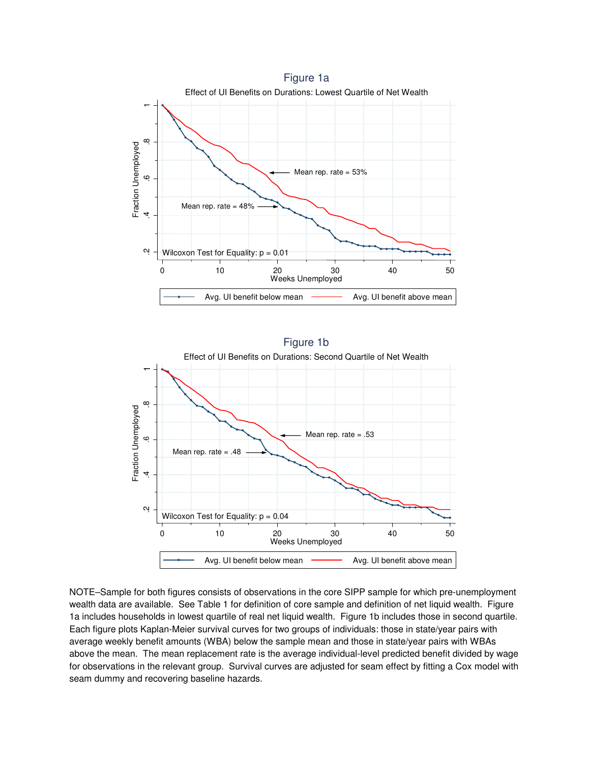



NOTE–Sample for both figures consists of observations in the core SIPP sample for which pre-unemployment wealth data are available. See Table 1 for definition of core sample and definition of net liquid wealth. Figure 1a includes households in lowest quartile of real net liquid wealth. Figure 1b includes those in second quartile. Each figure plots Kaplan-Meier survival curves for two groups of individuals: those in state/year pairs with average weekly benefit amounts (WBA) below the sample mean and those in state/year pairs with WBAs above the mean. The mean replacement rate is the average individual-level predicted benefit divided by wage for observations in the relevant group. Survival curves are adjusted for seam effect by fitting a Cox model with seam dummy and recovering baseline hazards.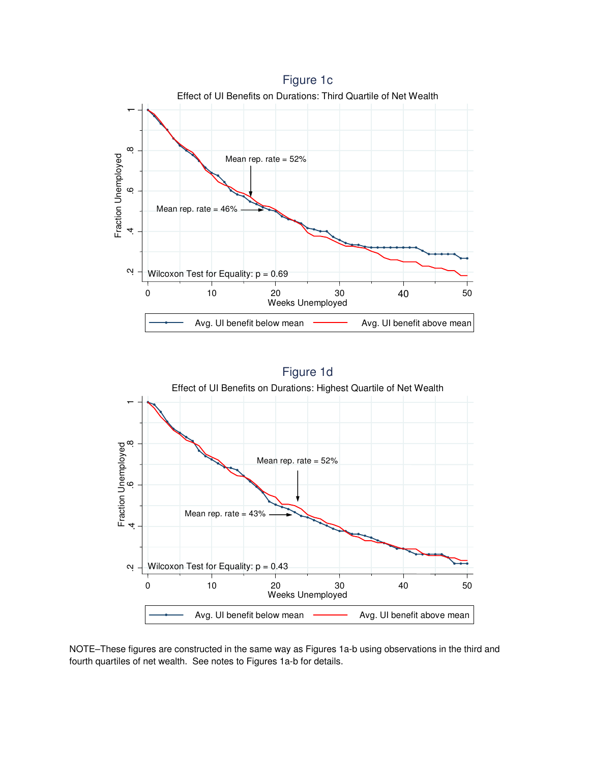



NOTE–These figures are constructed in the same way as Figures 1a-b using observations in the third and fourth quartiles of net wealth. See notes to Figures 1a-b for details.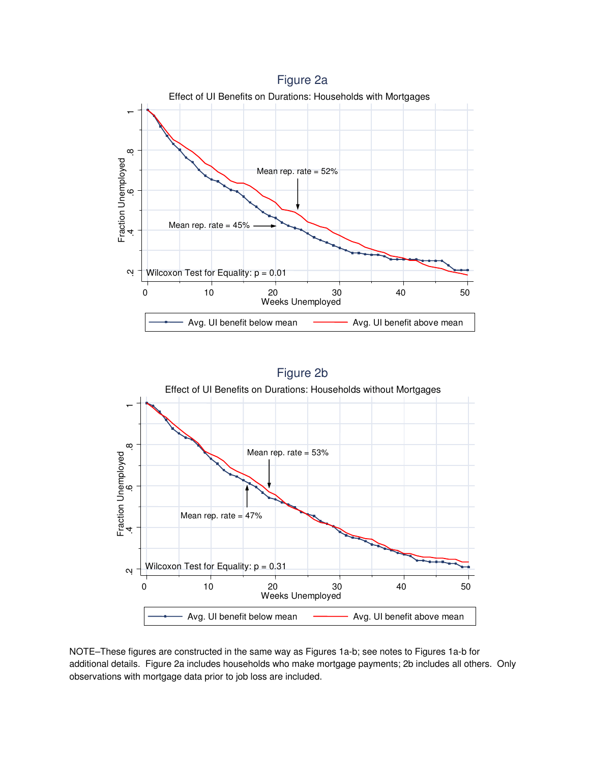



NOTE–These figures are constructed in the same way as Figures 1a-b; see notes to Figures 1a-b for additional details. Figure 2a includes households who make mortgage payments; 2b includes all others. Only observations with mortgage data prior to job loss are included.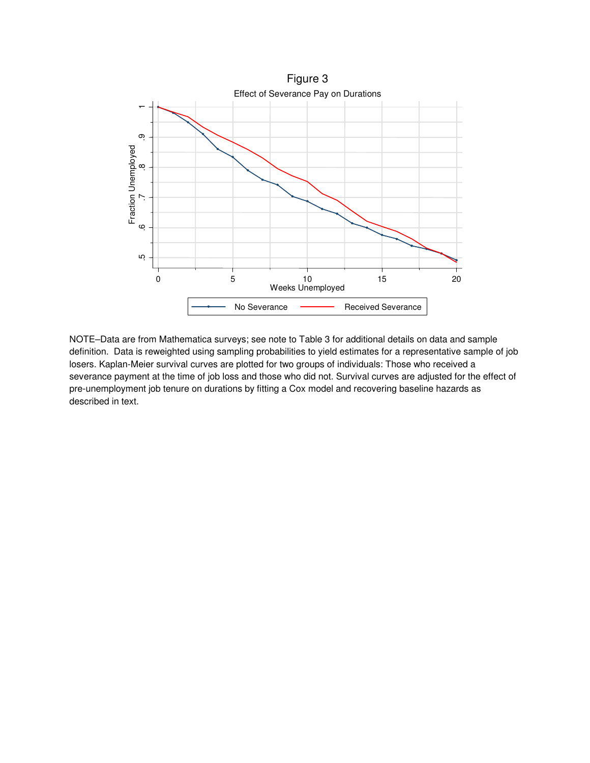

NOTE–Data are from Mathematica surveys; see note to Table 3 for additional details on data and sample definition. Data is reweighted using sampling probabilities to yield estimates for a representative sample of job losers. Kaplan-Meier survival curves are plotted for two groups of individuals: Those who received a severance payment at the time of job loss and those who did not. Survival curves are adjusted for the effect of pre-unemployment job tenure on durations by fitting a Cox model and recovering baseline hazards as described in text.